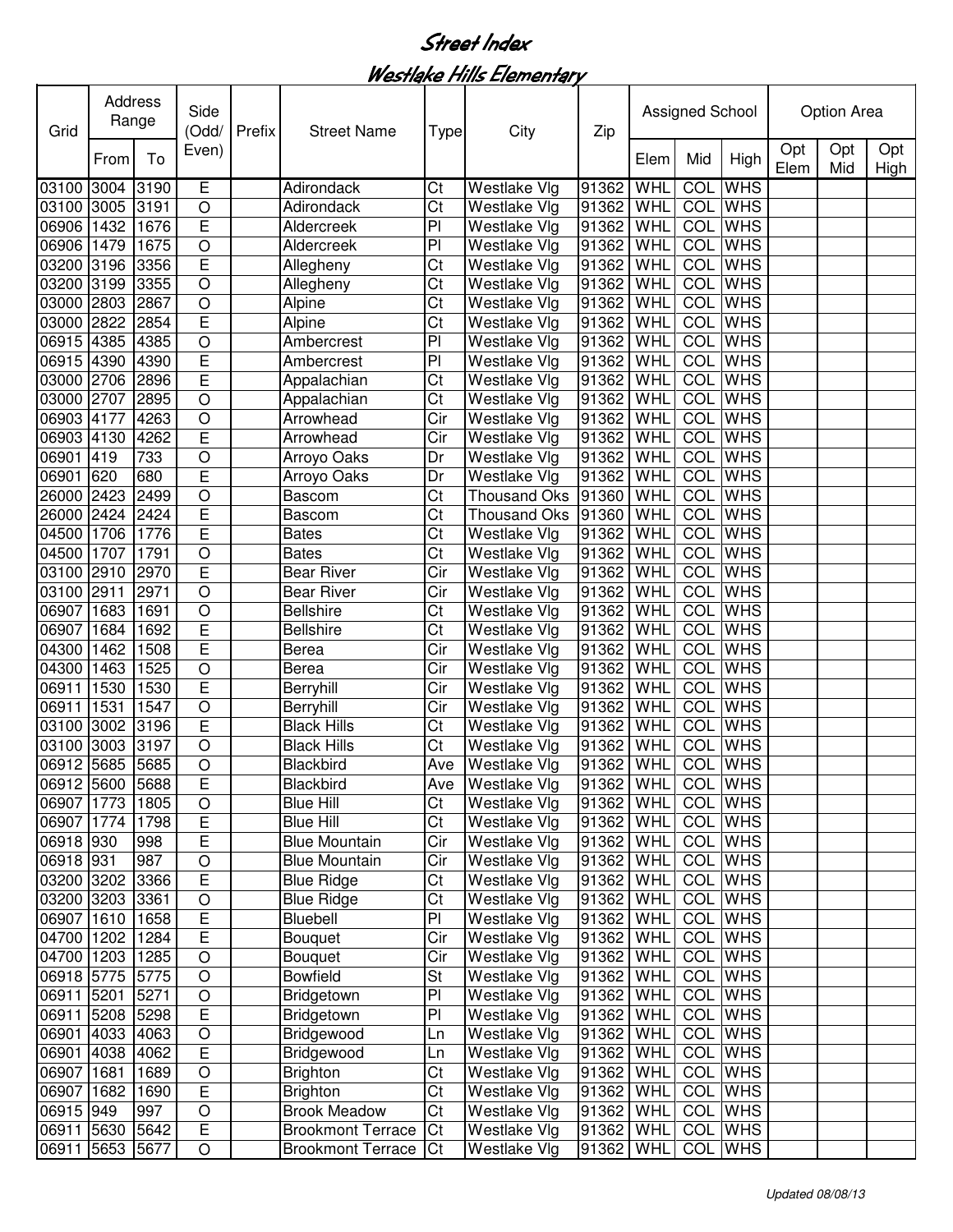Westlake Hills Elementary

| Grid                     |      | Address<br>Range | Side<br>(Odd/                | Prefix | <b>Street Name</b>         | <b>Type</b>            | City                                | Zip                    |            | Assigned School |                           |             | <b>Option Area</b> |             |
|--------------------------|------|------------------|------------------------------|--------|----------------------------|------------------------|-------------------------------------|------------------------|------------|-----------------|---------------------------|-------------|--------------------|-------------|
|                          | From | To               | Even)                        |        |                            |                        |                                     |                        | Elem       | Mid             | High                      | Opt<br>Elem | Opt<br>Mid         | Opt<br>High |
| 03100 3004               |      | 3190             | E                            |        | Adirondack                 | Ct                     | Westlake Vlg                        | 91362                  | WHL        | COL             | <b>WHS</b>                |             |                    |             |
| 03100 3005               |      | 3191             | $\circ$                      |        | Adirondack                 | $\overline{\text{Ct}}$ | Westlake Vlg                        | 91362                  | WHL        | COL             | <b>WHS</b>                |             |                    |             |
| 06906 1432               |      | 1676             | E                            |        | Aldercreek                 | $\overline{P}$         | Westlake Vlg                        | 91362                  | WHL        | COL             | <b>WHS</b>                |             |                    |             |
| 06906 1479               |      | 1675             | $\overline{O}$               |        | Aldercreek                 | $\overline{P}$         | Westlake Vlg                        | 91362                  | WHL        | <b>COL</b>      | <b>WHS</b>                |             |                    |             |
| 03200 3196               |      | 3356             | E                            |        | Allegheny                  | Ct                     | Westlake Vlg                        | 91362                  | WHL        | COL             | <b>WHS</b>                |             |                    |             |
| 03200 3199               |      | 3355             | $\overline{O}$               |        | Allegheny                  | Ct                     | Westlake Vlg                        | 91362                  | WHL        | <b>COL</b>      | <b>WHS</b>                |             |                    |             |
| 03000                    | 2803 | 2867             | $\overline{O}$               |        | Alpine                     | Ct                     | Westlake Vlg                        | 91362                  | WHL        | <b>COL</b>      | <b>WHS</b>                |             |                    |             |
| 03000 2822               |      | 2854             | Ē                            |        | Alpine                     | $\overline{\text{Ct}}$ | Westlake Vlg                        | 91362                  | WHL        | <b>COL</b>      | <b>WHS</b>                |             |                    |             |
| 06915                    | 4385 | 4385             | $\bigcirc$                   |        | Ambercrest                 | $\overline{P}$         | Westlake Vlg                        | 91362                  | WHL        | <b>COL</b>      | <b>WHS</b>                |             |                    |             |
| 06915                    | 4390 | 4390             | E                            |        | Ambercrest                 | $\overline{P}$         | Westlake Vlg                        | 91362                  | WHL        | <b>COL</b>      | <b>WHS</b>                |             |                    |             |
| 03000 2706               |      | 2896             | E                            |        | Appalachian                | Ct                     | Westlake Vlg                        | 91362                  | WHL        | COL             | <b>WHS</b>                |             |                    |             |
| 03000 2707               |      | 2895             | $\circ$                      |        | Appalachian                | Ct                     | Westlake Vlg                        | 91362                  | WHL        | COL             | <b>WHS</b>                |             |                    |             |
| 06903 4177               |      | 4263             | $\circ$                      |        | Arrowhead                  | Cir                    | Westlake Vlg                        | 91362                  | WHL        | COL             | <b>WHS</b>                |             |                    |             |
| 06903 4130               |      | 4262             | E                            |        | Arrowhead                  | Cir                    | <b>Westlake Vlg</b>                 | 91362                  | WHL        | COL             | <b>WHS</b>                |             |                    |             |
| 06901                    | 419  | 733              | $\circ$                      |        | Arroyo Oaks                | Dr                     | Westlake Vlg                        | 91362                  | WHL        | COL             | <b>WHS</b>                |             |                    |             |
| 06901                    | 620  | 680              | E                            |        | Arroyo Oaks                | Dr                     | Westlake Vlg                        | 91362                  | <b>WHL</b> | COL             | <b>WHS</b>                |             |                    |             |
| 26000 2423               |      | 2499             | $\circ$                      |        | Bascom                     | Ct                     | <b>Thousand Oks</b>                 | 91360                  | WHL        | COL             | <b>WHS</b>                |             |                    |             |
| 26000 2424               |      | 2424             | E                            |        | Bascom                     | Ct                     | <b>Thousand Oks</b>                 | 91360                  | WHL        | COL             | <b>WHS</b>                |             |                    |             |
| 04500 1706               |      | 1776             | E                            |        | <b>Bates</b>               | Ct                     | Westlake Vlg                        | 91362                  | WHL        | COL             | <b>WHS</b>                |             |                    |             |
| 04500 1707               |      | 1791             | $\circ$                      |        | <b>Bates</b>               | Ct                     | Westlake Vlg                        | 91362                  | WHL        | COL             | <b>WHS</b>                |             |                    |             |
| 03100 2910               |      | 2970             | Ē                            |        | <b>Bear River</b>          | Cir                    | <b>Westlake Vlg</b>                 | 91362                  | WHL        | COL             | <b>WHS</b>                |             |                    |             |
| 03100 2911               |      | 2971             | $\overline{O}$               |        | <b>Bear River</b>          | Cir                    | Westlake Vlg                        | 91362                  | WHL        | COL             | <b>WHS</b>                |             |                    |             |
| 06907                    | 1683 | 1691             | $\overline{O}$               |        | <b>Bellshire</b>           | Ct                     | Westlake Vlg                        | 91362                  | WHL        | COL             | <b>WHS</b>                |             |                    |             |
| 06907                    | 1684 | 1692             | E                            |        | <b>Bellshire</b>           | Ct                     | Westlake Vlg                        | 91362                  | WHL        | COL             | <b>WHS</b>                |             |                    |             |
| 04300                    | 1462 | 1508             | Ē                            |        | Berea                      | Cir                    | Westlake Vlg                        | 91362                  | WHL        | COL             | <b>WHS</b>                |             |                    |             |
| 04300                    | 1463 | 1525             | $\overline{O}$               |        | Berea                      | Cir                    | Westlake Vlg                        | 91362                  | WHL        | COL             | <b>WHS</b>                |             |                    |             |
| 06911                    | 1530 | 1530             | Ē                            |        | Berryhill                  | Cir                    | Westlake Vlg                        | 91362                  | WHL        | <b>COL</b>      | <b>WHS</b>                |             |                    |             |
| 06911                    | 1531 | 1547             | $\bigcirc$                   |        | Berryhill                  | Cir                    | Westlake Vlg                        | 91362                  | WHL        | COL             | <b>WHS</b>                |             |                    |             |
| 03100 3002               |      | 3196             | E                            |        | <b>Black Hills</b>         | Ct                     | Westlake Vlg                        | 91362                  | WHL        | <b>COL</b>      | <b>WHS</b>                |             |                    |             |
| 03100                    | 3003 | 3197             | $\circ$                      |        | <b>Black Hills</b>         | Ct                     | Westlake Vlg                        | 91362                  | WHL        | COL             | <b>WHS</b>                |             |                    |             |
| 06912 5685               |      | 5685             | $\circ$                      |        | Blackbird                  | Ave                    | <b>Westlake Vlg</b>                 | 91362                  | WHL        |                 | <b>COL</b> WHS            |             |                    |             |
| 06912 5600 5688          |      |                  | $\overline{E}$               |        | Blackbird                  | Ave                    | <b>Westlake Vlg</b>                 | 91362 WHL              |            |                 | <b>COL</b> WHS            |             |                    |             |
| 06907 1773               |      | 1805             | $\circ$                      |        | <b>Blue Hill</b>           | Ct                     | Westlake Vlg                        | 91362 WHL              |            |                 | <b>COL</b> WHS            |             |                    |             |
| 06907 1774               |      | 1798             | $\mathsf E$                  |        | <b>Blue Hill</b>           | Ct                     | <b>Westlake Vlg</b>                 | 91362 WHL              |            |                 | COL WHS                   |             |                    |             |
| 06918 930                |      | 998              | $\overline{E}$               |        | <b>Blue Mountain</b>       | Cir                    | <b>Westlake Vlg</b>                 | 91362 WHL              |            |                 | <b>COL</b> WHS            |             |                    |             |
| 06918 931                |      | 987              | $\circ$                      |        | <b>Blue Mountain</b>       | Cir                    | <b>Westlake Vlg</b>                 | 91362 WHL              |            |                 | COL WHS                   |             |                    |             |
| 03200 3202 3366          |      |                  | E                            |        | <b>Blue Ridge</b>          | Ct<br>Ct               | <b>Westlake Vlg</b>                 | 91362 WHL              |            |                 | COL WHS<br><b>COL</b> WHS |             |                    |             |
| 03200 3203 3361          |      |                  | $\circ$<br>$\overline{E}$    |        | <b>Blue Ridge</b>          | PI                     | Westlake Vlg                        | 91362 WHL<br>91362 WHL |            |                 |                           |             |                    |             |
| 06907 1610<br>04700 1202 |      | 1658             | $\overline{\mathsf{E}}$      |        | Bluebell                   |                        | <b>Westlake Vlg</b><br>Westlake Vlg |                        |            |                 | COL WHS                   |             |                    |             |
|                          |      | 1284<br>1285     | $\bigcirc$                   |        | Bouquet                    | Cir<br>Cir             | Westlake Vlg                        | 91362 WHL              |            |                 | COL WHS<br>COL WHS        |             |                    |             |
| 04700 1203<br>06918 5775 |      | 5775             | $\bigcirc$                   |        | Bouquet<br><b>Bowfield</b> | <b>St</b>              | Westlake Vlg                        | 91362 WHL<br>91362 WHL |            |                 | COL WHS                   |             |                    |             |
|                          |      |                  |                              |        |                            | PI                     |                                     |                        |            |                 | COL WHS                   |             |                    |             |
| 06911 5201<br>06911 5208 |      | 5271<br>5298     | $\bigcirc$<br>$\overline{E}$ |        | Bridgetown<br>Bridgetown   | PI                     | Westlake Vlg<br>Westlake Vlg        | 91362 WHL<br>91362 WHL |            |                 | COL WHS                   |             |                    |             |
| 06901 4033               |      | 4063             | $\circ$                      |        | Bridgewood                 | Ln                     | <b>Westlake Vlg</b>                 | 91362 WHL              |            |                 | <b>COL</b> WHS            |             |                    |             |
| 06901 4038               |      | 4062             | $\overline{E}$               |        | Bridgewood                 | Ln                     | <b>Westlake Vlg</b>                 | 91362 WHL              |            |                 | <b>COL</b> WHS            |             |                    |             |
| 06907 1681               |      | 1689             | $\circ$                      |        | <b>Brighton</b>            | Ct                     | <b>Westlake Vlg</b>                 | 91362 WHL              |            |                 | <b>COL</b> WHS            |             |                    |             |
| 06907 1682               |      | 1690             | $\mathsf E$                  |        | <b>Brighton</b>            | Ct                     | <b>Westlake Vlg</b>                 | 91362 WHL              |            |                 | <b>COL</b> WHS            |             |                    |             |
| 06915 949                |      | 997              | $\bigcirc$                   |        | <b>Brook Meadow</b>        | Ct                     | Westlake Vlg                        | 91362 WHL              |            |                 | <b>COL</b> WHS            |             |                    |             |
| 06911 5630               |      | 5642             | $\overline{\mathsf{E}}$      |        | <b>Brookmont Terrace</b>   | Ct                     | <b>Westlake Vlg</b>                 | 91362 WHL              |            |                 | COL WHS                   |             |                    |             |
| 06911 5653               |      | 5677             | $\circ$                      |        | <b>Brookmont Terrace</b>   | Ct                     |                                     | 91362 WHL              |            |                 | COL WHS                   |             |                    |             |
|                          |      |                  |                              |        |                            |                        | <b>Westlake Vlg</b>                 |                        |            |                 |                           |             |                    |             |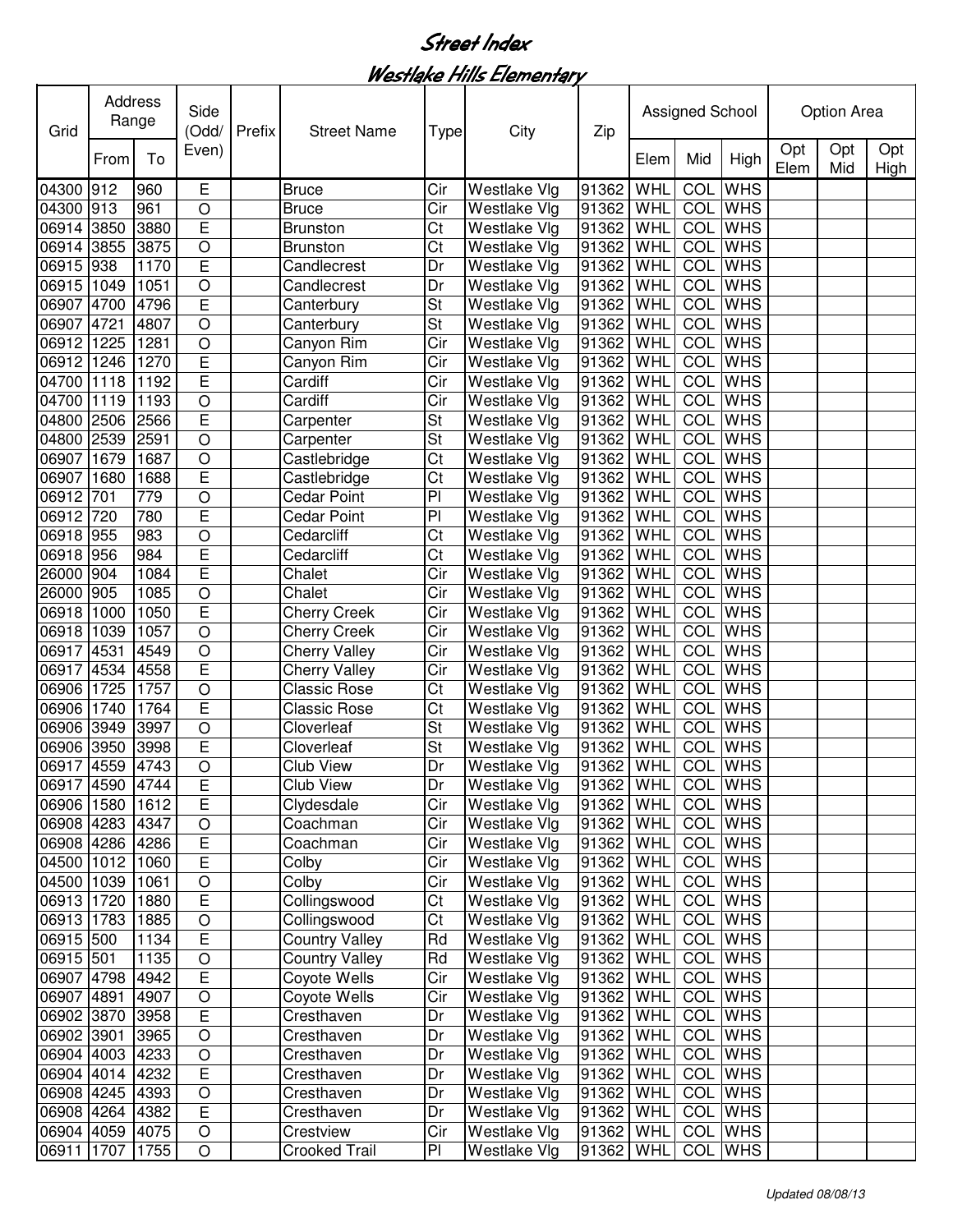Westlake Hills Elementary

| Grid            | Address<br>Range | Side<br>(Odd/ | Prefix                  | <b>Street Name</b> | <b>Type</b>           | City                     | Zip                 |           | Assigned School |                |                | <b>Option Area</b> |            |             |
|-----------------|------------------|---------------|-------------------------|--------------------|-----------------------|--------------------------|---------------------|-----------|-----------------|----------------|----------------|--------------------|------------|-------------|
|                 | From             | To            | Even)                   |                    |                       |                          |                     |           | Elem            | Mid            | High           | Opt<br>Elem        | Opt<br>Mid | Opt<br>High |
| 04300 912       |                  | 960           | E                       |                    | <b>Bruce</b>          | Cir                      | <b>Westlake Vlg</b> | 91362     | WHL             | COL            | <b>WHS</b>     |                    |            |             |
| 04300 913       |                  | 961           | $\circ$                 |                    | <b>Bruce</b>          | Cir                      | <b>Westlake Vlg</b> | 91362 WHL |                 |                | COL WHS        |                    |            |             |
| 06914 3850      |                  | 3880          | E                       |                    | <b>Brunston</b>       | Ct                       | Westlake Vlg        | 91362     | WHL             | COL            | <b>WHS</b>     |                    |            |             |
| 06914 3855      |                  | 3875          | $\circ$                 |                    | <b>Brunston</b>       | Ct                       | Westlake Vlg        | 91362     | WHL             | COL            | <b>WHS</b>     |                    |            |             |
| 06915 938       |                  | 1170          | E                       |                    | Candlecrest           | Dr                       | Westlake Vlg        | 91362     | WHL             | COL            | <b>WHS</b>     |                    |            |             |
| 06915 1049      |                  | 1051          | $\circ$                 |                    | Candlecrest           | Dr                       | Westlake Vlg        | 91362     | WHL             | COL            | <b>WHS</b>     |                    |            |             |
| 06907           | 4700             | 4796          | E                       |                    | Canterbury            | St                       | Westlake Vlg        | 91362     | WHL             | COL            | <b>WHS</b>     |                    |            |             |
| 06907           | 4721             | 4807          | $\overline{O}$          |                    | Canterbury            | St                       | Westlake Vlg        | 91362     | WHL             | COL            | <b>WHS</b>     |                    |            |             |
| 06912 1225      |                  | 1281          | $\bigcirc$              |                    | Canyon Rim            | Cir                      | Westlake Vlg        | 91362     | WHL             | COL            | <b>WHS</b>     |                    |            |             |
| 06912 1246      |                  | 1270          | E                       |                    | Canyon Rim            | Cir                      | <b>Westlake Vlg</b> | 91362     | WHL             | COL            | <b>WHS</b>     |                    |            |             |
| 04700 1118      |                  | 1192          | E                       |                    | Cardiff               | Cir                      | <b>Westlake Vlg</b> | 91362     | WHL             | COL            | <b>WHS</b>     |                    |            |             |
| 04700 1119      |                  | 1193          | $\circ$                 |                    | Cardiff               | Cir                      | <b>Westlake Vlg</b> | 91362     | WHL             | COL            | <b>WHS</b>     |                    |            |             |
| 04800 2506      |                  | 2566          | E                       |                    | Carpenter             | St                       | Westlake Vlg        | 91362     | WHL             | COL            | <b>WHS</b>     |                    |            |             |
| 04800 2539      |                  | 2591          | $\circ$                 |                    | Carpenter             | $\overline{\mathsf{St}}$ | <b>Westlake Vlg</b> | 91362     | WHL             | COL            | <b>WHS</b>     |                    |            |             |
| 06907 1679      |                  | 1687          | $\circ$                 |                    | Castlebridge          | Ct                       | Westlake Vlg        | 91362     | WHL             | COL            | <b>WHS</b>     |                    |            |             |
| 06907 1680      |                  | 1688          | E                       |                    | Castlebridge          | $\overline{\text{Ct}}$   | Westlake Vlg        | 91362     | WHL             | <b>COL</b>     | <b>WHS</b>     |                    |            |             |
| 06912           | 701              | 779           | $\circ$                 |                    | Cedar Point           | $\overline{P}$           | Westlake Vlg        | 91362     | WHL             | <b>COL</b>     | <b>WHS</b>     |                    |            |             |
| 06912 720       |                  | 780           | Ē                       |                    | <b>Cedar Point</b>    | $\overline{P}$           | Westlake Vlg        | 91362     | WHL             | <b>COL</b>     | <b>WHS</b>     |                    |            |             |
| 06918 955       |                  | 983           | $\overline{O}$          |                    | Cedarcliff            | Ct                       | Westlake Vlg        | 91362     | WHL             | <b>COL</b>     | <b>WHS</b>     |                    |            |             |
| 06918 956       |                  | 984           | E                       |                    | Cedarcliff            | Ct                       | Westlake Vlg        | 91362     | WHL             |                | <b>COL</b> WHS |                    |            |             |
| 26000 904       |                  | 1084          | Ē                       |                    | Chalet                | Cir                      | Westlake Vlg        | 91362     | WHL             | <b>COL</b>     | <b>WHS</b>     |                    |            |             |
| 26000 905       |                  | 1085          | $\overline{O}$          |                    | Chalet                | Cir                      | Westlake Vlg        | 91362     | WHL             | <b>COL</b>     | <b>WHS</b>     |                    |            |             |
| 06918           | 1000             | 1050          | E                       |                    | <b>Cherry Creek</b>   | Cir                      | Westlake Vlg        | 91362     | WHL             | <b>COL</b>     | <b>WHS</b>     |                    |            |             |
| 06918           | 1039             | 1057          | $\overline{O}$          |                    | <b>Cherry Creek</b>   | Cir                      | Westlake Vlg        | 91362     | WHL             | <b>COL</b>     | <b>WHS</b>     |                    |            |             |
| 06917           | 4531             | 4549          | $\bigcirc$              |                    | Cherry Valley         | Cir                      | Westlake Vlg        | 91362     | WHL             | <b>COL</b>     | <b>WHS</b>     |                    |            |             |
| 06917 4534      |                  | 4558          | E                       |                    | <b>Cherry Valley</b>  | Cir                      | Westlake Vlg        | 91362     | WHL             | COL            | <b>WHS</b>     |                    |            |             |
| 06906 1725      |                  | 1757          | $\circ$                 |                    | <b>Classic Rose</b>   | Ct                       | Westlake Vlg        | 91362     | WHL             | COL            | <b>WHS</b>     |                    |            |             |
| 06906 1740      |                  | 1764          | E                       |                    | Classic Rose          | Ct                       | <b>Westlake Vlg</b> | 91362     | WHL             | COL            | <b>WHS</b>     |                    |            |             |
| 06906 3949      |                  | 3997          | $\circ$                 |                    | Cloverleaf            | St                       | Westlake Vlg        | 91362     | WHL             | COL            | <b>WHS</b>     |                    |            |             |
| 06906 3950      |                  | 3998          | E                       |                    | Cloverleaf            | St                       | Westlake Vlg        | 91362     | WHL             | COL            | <b>WHS</b>     |                    |            |             |
| 06917 4559      |                  | 4743          | $\circ$                 |                    | <b>Club View</b>      | Dr                       | <b>Westlake Vlg</b> | 91362 WHL |                 | COL            | <b>WHS</b>     |                    |            |             |
| 06917 4590 4744 |                  |               | $\overline{E}$          |                    | Club View             | Dr                       | Westlake Vlg        | 91362 WHL |                 | <b>COL</b> WHS |                |                    |            |             |
| 06906 1580      |                  | 1612          | E                       |                    | Clydesdale            | Cir                      | <b>Westlake Vlg</b> | 91362 WHL |                 |                | COL WHS        |                    |            |             |
| 06908 4283 4347 |                  |               | $\circ$                 |                    | Coachman              | Cir                      | <b>Westlake Vlg</b> | 91362 WHL |                 |                | COL WHS        |                    |            |             |
| 06908 4286 4286 |                  |               | E                       |                    | Coachman              | Cir                      | <b>Westlake Vlg</b> | 91362 WHL |                 |                | <b>COL</b> WHS |                    |            |             |
| 04500 1012      |                  | 1060          | E                       |                    | Colby                 | Cir                      | <b>Westlake Vlg</b> | 91362 WHL |                 |                | COL WHS        |                    |            |             |
| 04500 1039      |                  | 1061          | $\overline{O}$          |                    | Colby                 | Cir                      | <b>Westlake Vlg</b> | 91362 WHL |                 |                | COL WHS        |                    |            |             |
| 06913 1720      |                  | 1880          | $\overline{E}$          |                    | Collingswood          | Ct                       | <b>Westlake Vlg</b> | 91362 WHL |                 |                | COL WHS        |                    |            |             |
| 06913 1783      |                  | 1885          | $\overline{O}$          |                    | Collingswood          | Ct                       | Westlake Vlg        | 91362 WHL |                 |                | COL WHS        |                    |            |             |
| 06915 500       |                  | 1134          | $\overline{\mathsf{E}}$ |                    | <b>Country Valley</b> | Rd                       | Westlake Vlg        | 91362 WHL |                 |                | COL WHS        |                    |            |             |
| 06915 501       |                  | 1135          | $\bigcirc$              |                    | <b>Country Valley</b> | Rd                       | Westlake Vlg        | 91362 WHL |                 |                | COL WHS        |                    |            |             |
| 06907 4798      |                  | 4942          | $\overline{\mathsf{E}}$ |                    | Coyote Wells          | Cir                      | Westlake Vlg        | 91362 WHL |                 |                | COL WHS        |                    |            |             |
| 06907 4891      |                  | 4907          | $\bigcirc$              |                    | Coyote Wells          | Cir                      | <b>Westlake Vlg</b> | 91362 WHL |                 |                | <b>COL</b> WHS |                    |            |             |
| 06902 3870      |                  | 3958          | $\mathsf E$             |                    | Cresthaven            | Dr                       | <b>Westlake Vlg</b> | 91362 WHL |                 |                | <b>COL</b> WHS |                    |            |             |
| 06902 3901      |                  | 3965          | $\circ$                 |                    | Cresthaven            | Dr                       | <b>Westlake Vlg</b> | 91362     | WHL             |                | <b>COL</b> WHS |                    |            |             |
| 06904 4003      |                  | 4233          | $\circ$                 |                    | Cresthaven            | Dr                       | Westlake Vlg        | 91362     | WHL             |                | <b>COL</b> WHS |                    |            |             |
| 06904 4014      |                  | 4232          | $\overline{E}$          |                    | Cresthaven            | Dr                       | <b>Westlake Vlg</b> | 91362 WHL |                 |                | <b>COL</b> WHS |                    |            |             |
| 06908 4245      |                  | 4393          | $\bigcirc$              |                    | Cresthaven            | Dr                       | <b>Westlake Vlg</b> | 91362 WHL |                 |                | <b>COL</b> WHS |                    |            |             |
| 06908 4264      |                  | 4382          | $\overline{E}$          |                    | Cresthaven            | Dr                       | <b>Westlake Vlg</b> | 91362 WHL |                 |                | <b>COL</b> WHS |                    |            |             |
| 06904 4059      |                  | 4075          | $\circ$                 |                    | Crestview             | Cir                      | <b>Westlake Vlg</b> | 91362 WHL |                 |                | COL WHS        |                    |            |             |
| 06911 1707      |                  | 1755          | $\bigcirc$              |                    | Crooked Trail         | PI                       | Westlake Vlg        | 91362 WHL |                 |                | COL WHS        |                    |            |             |
|                 |                  |               |                         |                    |                       |                          |                     |           |                 |                |                |                    |            |             |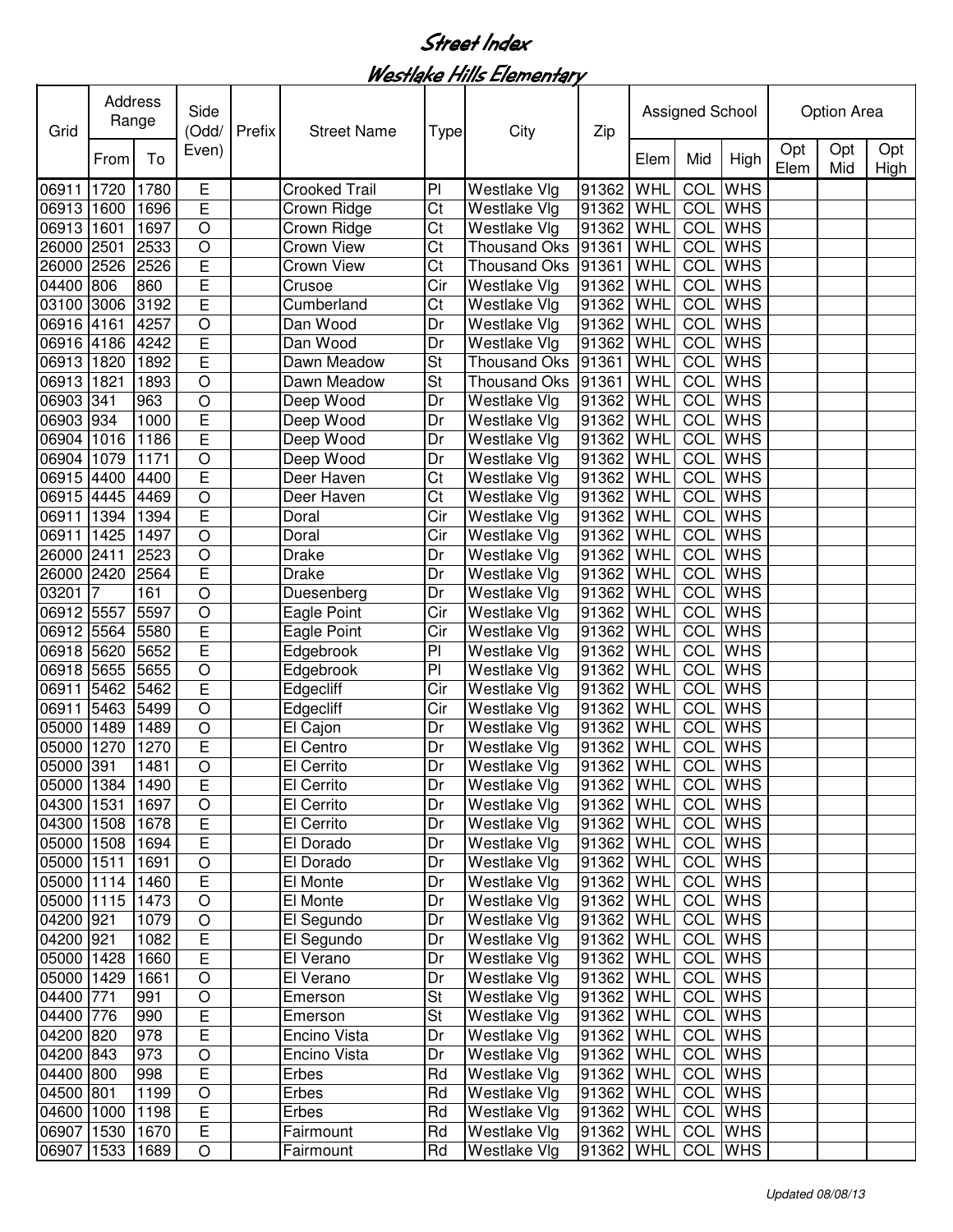Westlake Hills Elementary

| Grid            | Address<br>Range | Side<br>(Odd/ | Prefix                  | <b>Street Name</b> | <b>Type</b>          | City                     | Zip                 |             | Assigned School |                |                | <b>Option Area</b> |            |             |
|-----------------|------------------|---------------|-------------------------|--------------------|----------------------|--------------------------|---------------------|-------------|-----------------|----------------|----------------|--------------------|------------|-------------|
|                 | From             | To            | Even)                   |                    |                      |                          |                     |             | Elem            | Mid            | High           | Opt<br>Elem        | Opt<br>Mid | Opt<br>High |
| 06911           | 1720             | 1780          | E                       |                    | <b>Crooked Trail</b> | P                        | Westlake Vlg        | 91362       | WHL             | COL            | <b>WHS</b>     |                    |            |             |
| 06913 1600      |                  | 1696          | E                       |                    | Crown Ridge          | Ct                       | Westlake Vlg        | 91362 WHL   |                 |                | <b>COL</b> WHS |                    |            |             |
| 06913           | 1601             | 1697          | $\circ$                 |                    | Crown Ridge          | Ct                       | Westlake Vlg        | 91362       | WHL             | COL            | <b>WHS</b>     |                    |            |             |
| 26000 2501      |                  | 2533          | $\circ$                 |                    | Crown View           | Ct                       | <b>Thousand Oks</b> | 91361       | WHL             | COL            | <b>WHS</b>     |                    |            |             |
| 26000           | 2526             | 2526          | E                       |                    | Crown View           | Ct                       | Thousand Oks        | 91361       | WHL             | COL            | <b>WHS</b>     |                    |            |             |
| 04400 806       |                  | 860           | Ē                       |                    | Crusoe               | Cir                      | Westlake Vlg        | 91362       | WHL             | COL            | <b>WHS</b>     |                    |            |             |
| 03100 3006      |                  | 3192          | Ē                       |                    | Cumberland           | Ct                       | Westlake Vlg        | 91362       | WHL             | COL            | <b>WHS</b>     |                    |            |             |
| 06916 4161      |                  | 4257          | $\circ$                 |                    | Dan Wood             | Dr                       | Westlake Vlg        | 91362       | WHL             | COL            | <b>WHS</b>     |                    |            |             |
| 06916 4186      |                  | 4242          | $\overline{E}$          |                    | Dan Wood             | Dr                       | Westlake Vlg        | 91362       | WHL             | COL            | <b>WHS</b>     |                    |            |             |
| 06913 1820      |                  | 1892          | Ē                       |                    | Dawn Meadow          | St                       | <b>Thousand Oks</b> | 91361       | WHL             | COL            | <b>WHS</b>     |                    |            |             |
| 06913 1821      |                  | 1893          | $\circ$                 |                    | Dawn Meadow          | St                       | <b>Thousand Oks</b> | 91361       | WHL             | COL            | <b>WHS</b>     |                    |            |             |
| 06903 341       |                  | 963           | $\circ$                 |                    | Deep Wood            | Dr                       | Westlake Vlg        | 91362       | WHL             | COL            | <b>WHS</b>     |                    |            |             |
| 06903 934       |                  | 1000          | E                       |                    | Deep Wood            | Dr                       | Westlake Vlg        | 91362       | <b>WHL</b>      | COL            | <b>WHS</b>     |                    |            |             |
| 06904 1016      |                  | 1186          | E                       |                    | Deep Wood            | Dr                       | Westlake Vlg        | 91362       | WHL             | COL            | <b>WHS</b>     |                    |            |             |
| 06904 1079      |                  | 1171          | $\circ$                 |                    | Deep Wood            | Dr                       | Westlake Vlg        | 91362       | WHL             | COL            | <b>WHS</b>     |                    |            |             |
| 06915 4400      |                  | 4400          | E                       |                    | Deer Haven           | Ct                       | Westlake Vlg        | 91362       | WHL             | <b>COL</b>     | <b>WHS</b>     |                    |            |             |
| 06915 4445      |                  | 4469          | $\circ$                 |                    | Deer Haven           | Ct                       | Westlake Vlg        | 91362       | WHL             | <b>COL</b>     | <b>WHS</b>     |                    |            |             |
| 06911           | 1394             | 1394          | Ē                       |                    | Doral                | $\overline{\text{C}}$ ir | <b>Westlake Vlg</b> | 91362       | WHL             | <b>COL</b>     | <b>WHS</b>     |                    |            |             |
| 06911           | 1425             | 1497          | $\overline{O}$          |                    | Doral                | Cir                      | Westlake Vlg        | 91362       | WHL             | <b>COL</b>     | <b>WHS</b>     |                    |            |             |
| 26000 2411      |                  | 2523          | $\overline{O}$          |                    | Drake                | Dr                       | Westlake Vlg        | 91362       | WHL             |                | <b>COL</b> WHS |                    |            |             |
| 26000 2420      |                  | 2564          | E                       |                    | <b>Drake</b>         | Dr                       | Westlake Vlg        | 91362       | WHL             | <b>COL</b>     | <b>WHS</b>     |                    |            |             |
| 03201           |                  | 161           | $\overline{O}$          |                    | Duesenberg           | Dr                       | Westlake Vlg        | 91362       | WHL             | <b>COL</b>     | <b>WHS</b>     |                    |            |             |
| 06912 5557      |                  | 5597          | $\circ$                 |                    | Eagle Point          | Cir                      | Westlake Vlg        | 91362       | WHL             | <b>COL</b>     | <b>WHS</b>     |                    |            |             |
| 06912 5564      |                  | 5580          | Ē                       |                    | Eagle Point          | Cir                      | Westlake Vlg        | 91362       | WHL             | <b>COL</b>     | <b>WHS</b>     |                    |            |             |
| 06918 5620      |                  | 5652          | E                       |                    | Edgebrook            | PI                       | Westlake Vlg        | 91362       | WHL             | COL            | <b>WHS</b>     |                    |            |             |
| 06918 5655      |                  | 5655          | $\bigcirc$              |                    | Edgebrook            | PI                       | Westlake Vlg        | 91362       | WHL             | COL            | <b>WHS</b>     |                    |            |             |
| 06911           | 5462             | 5462          | E                       |                    | Edgecliff            | Cir                      | <b>Westlake Vlg</b> | 91362       | WHL             | COL            | <b>WHS</b>     |                    |            |             |
| 06911           | 5463             | 5499          | $\circ$                 |                    | Edgecliff            | Cir                      | <b>Westlake Vlg</b> | 91362       | WHL             | COL            | <b>WHS</b>     |                    |            |             |
| 05000 1489      |                  | 1489          | $\circ$                 |                    | El Cajon             | Dr                       | Westlake Vlg        | 91362       | WHL             | COL            | <b>WHS</b>     |                    |            |             |
| 05000           | 1270             | 1270          | E                       |                    | El Centro            | Dr                       | Westlake Vlg        | 91362       | WHL             | COL            | <b>WHS</b>     |                    |            |             |
| 05000 391       |                  | 1481          | $\circ$                 |                    | El Cerrito           | Dr                       | <b>Westlake Vlg</b> | 91362 WHL   |                 | COL            | <b>WHS</b>     |                    |            |             |
| 05000 1384 1490 |                  |               | $\overline{E}$          |                    | El Cerrito           | Dr                       | Westlake Vlg        | 91362 WHL   |                 | <b>COL</b> WHS |                |                    |            |             |
| 04300 1531      |                  | 1697          | $\circ$                 |                    | El Cerrito           | Dr                       | <b>Westlake Vlg</b> | 91362 WHL   |                 |                | COL WHS        |                    |            |             |
| 04300 1508      |                  | 1678          | E                       |                    | El Cerrito           | Dr                       | <b>Westlake Vlg</b> | 91362   WHL |                 |                | COL WHS        |                    |            |             |
| 05000 1508      |                  | 1694          | Ē                       |                    | El Dorado            | Dr                       | <b>Westlake Vlg</b> | 91362 WHL   |                 |                | COL WHS        |                    |            |             |
| 05000 1511      |                  | 1691          | $\bigcirc$              |                    | El Dorado            | Dr                       | Westlake Vlg        | 91362 WHL   |                 |                | <b>COL</b> WHS |                    |            |             |
| 05000 1114      |                  | 1460          | $\overline{E}$          |                    | El Monte             | Dr                       | Westlake Vlg        | 91362 WHL   |                 |                | <b>COL</b> WHS |                    |            |             |
| 05000 1115      |                  | 1473          | $\bigcirc$              |                    | El Monte             | Dr                       | Westlake Vlg        | 91362 WHL   |                 |                | COL WHS        |                    |            |             |
| 04200 921       |                  | 1079          | $\bigcirc$              |                    | El Segundo           | Dr                       | <b>Westlake Vlg</b> | 91362 WHL   |                 |                | COL WHS        |                    |            |             |
| 04200 921       |                  | 1082          | $\overline{\mathsf{E}}$ |                    | El Segundo           | Dr                       | <b>Westlake Vlg</b> | 91362 WHL   |                 |                | COL WHS        |                    |            |             |
| 05000 1428      |                  | 1660          | $\overline{\mathsf{E}}$ |                    | El Verano            | Dr                       | Westlake Vlg        | 91362 WHL   |                 |                | COL WHS        |                    |            |             |
| 05000 1429      |                  | 1661          | $\bigcirc$              |                    | El Verano            | Dr                       | <b>Westlake Vlg</b> | 91362 WHL   |                 |                | COL WHS        |                    |            |             |
| 04400 771       |                  | 991           | $\bigcirc$              |                    | Emerson              | $\overline{\mathsf{St}}$ | <b>Westlake Vlg</b> | 91362 WHL   |                 |                | COL WHS        |                    |            |             |
| 04400 776       |                  | 990           | E                       |                    | Emerson              | St                       | <b>Westlake Vlg</b> | 91362 WHL   |                 |                | <b>COL</b> WHS |                    |            |             |
| 04200 820       |                  | 978           | E                       |                    | Encino Vista         | Dr                       | <b>Westlake Vlg</b> | 91362 WHL   |                 |                | <b>COL</b> WHS |                    |            |             |
| 04200 843       |                  | 973           | $\bigcirc$              |                    | Encino Vista         | Dr                       | Westlake Vlg        | 91362 WHL   |                 |                | <b>COL</b> WHS |                    |            |             |
| 04400 800       |                  | 998           | $\overline{E}$          |                    | Erbes                | Rd                       | <b>Westlake Vlg</b> | 91362 WHL   |                 |                | <b>COL</b> WHS |                    |            |             |
| 04500 801       |                  | 1199          | $\bigcirc$              |                    | Erbes                | Rd                       | <b>Westlake Vlg</b> | 91362 WHL   |                 |                | <b>COL</b> WHS |                    |            |             |
| 04600 1000      |                  | 1198          | $\mathsf E$             |                    | Erbes                | $\overline{Rd}$          | <b>Westlake Vlg</b> | 91362 WHL   |                 |                | <b>COL</b> WHS |                    |            |             |
| 06907 1530      |                  | 1670          | $\mathsf E$             |                    | Fairmount            | Rd                       | <b>Westlake Vlg</b> | 91362 WHL   |                 |                | COL WHS        |                    |            |             |
| 06907 1533      |                  | 1689          | $\bigcirc$              |                    | Fairmount            | Rd                       | <b>Westlake Vlg</b> | 91362 WHL   |                 |                | COL WHS        |                    |            |             |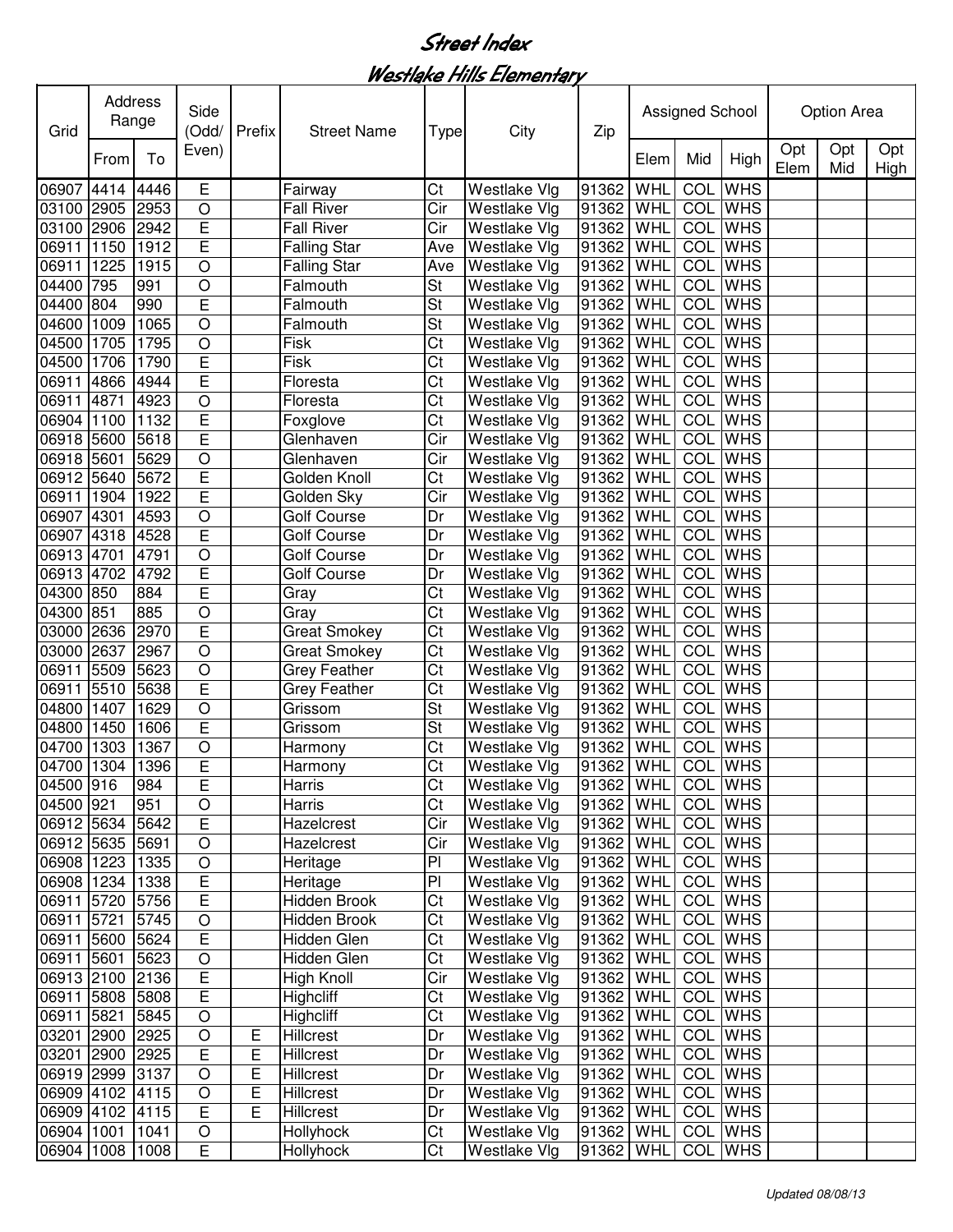Westlake Hills Elementary

| Grid            | Address<br>Range | Side<br>(Odd/ | Prefix                  | <b>Street Name</b> | <b>Type</b>         | City            | Zip                 |                   | Assigned School |            |                | <b>Option Area</b> |            |             |
|-----------------|------------------|---------------|-------------------------|--------------------|---------------------|-----------------|---------------------|-------------------|-----------------|------------|----------------|--------------------|------------|-------------|
|                 | From             | To            | Even)                   |                    |                     |                 |                     |                   | Elem            | Mid        | High           | Opt<br>Elem        | Opt<br>Mid | Opt<br>High |
| 06907 4414      |                  | 4446          | E                       |                    | Fairway             | Ct              | Westlake Vlg        | 91362             | WHL             | COL        | <b>WHS</b>     |                    |            |             |
| 03100 2905      |                  | 2953          | $\circ$                 |                    | <b>Fall River</b>   | Cir             | <b>Westlake Vlg</b> | 91362 WHL         |                 |            | COL WHS        |                    |            |             |
| 03100 2906      |                  | 2942          | E                       |                    | <b>Fall River</b>   | Cir             | Westlake Vlg        | 91362             | WHL             | COL        | <b>WHS</b>     |                    |            |             |
| 06911           | 1150             | 1912          | E                       |                    | <b>Falling Star</b> | Ave             | Westlake Vlg        | 91362             | WHL             | COL        | <b>WHS</b>     |                    |            |             |
| 06911           | 1225             | 1915          | $\overline{O}$          |                    | <b>Falling Star</b> | Ave             | <b>Westlake Vlg</b> | 91362             | WHL             | COL        | <b>WHS</b>     |                    |            |             |
| 04400           | 795              | 991           | $\bigcirc$              |                    | Falmouth            | <b>St</b>       | Westlake Vlg        | 91362             | WHL             | COL        | <b>WHS</b>     |                    |            |             |
| 04400           | 804              | 990           | Ē                       |                    | Falmouth            | St              | Westlake Vlg        | 91362             | WHL             | COL        | <b>WHS</b>     |                    |            |             |
| 04600           | 1009             | 1065          | $\overline{O}$          |                    | Falmouth            | St              | Westlake Vlg        | 91362             | WHL             |            | COL WHS        |                    |            |             |
| 04500 1705      |                  | 1795          | $\bigcirc$              |                    | Fisk                | Ct              | Westlake Vlg        | 91362             | WHL             | COL        | <b>WHS</b>     |                    |            |             |
| 04500 1706      |                  | 1790          | E                       |                    | Fisk                | Ct              | <b>Westlake Vlg</b> | 91362             | WHL             |            | <b>COL</b> WHS |                    |            |             |
| 06911           | 4866             | 4944          | E                       |                    | Floresta            | Ct              | <b>Westlake Vlg</b> | 91362             | WHL             | COL        | <b>WHS</b>     |                    |            |             |
| 06911           | 4871             | 4923          | $\circ$                 |                    | Floresta            | Ct              | Westlake Vlg        | 91362             | WHL             | COL        | <b>WHS</b>     |                    |            |             |
| 06904 1100      |                  | 1132          | E                       |                    | Foxglove            | Ct              | <b>Westlake Vlg</b> | 91362             | WHL             | COL        | <b>WHS</b>     |                    |            |             |
| 06918 5600      |                  | 5618          | E                       |                    | Glenhaven           | Cir             | <b>Westlake Vlg</b> | 91362             | WHL             | COL        | <b>WHS</b>     |                    |            |             |
| 06918 5601      |                  | 5629          | $\bigcirc$              |                    | Glenhaven           | Cir             | Westlake Vlg        | 91362             | WHL             | COL        | <b>WHS</b>     |                    |            |             |
| 06912 5640      |                  | 5672          | E                       |                    | Golden Knoll        | Ct              | Westlake Vlg        | 91362             | WHL             | <b>COL</b> | <b>WHS</b>     |                    |            |             |
| 06911 1904      |                  | 1922          | E                       |                    | Golden Sky          | Cir             | <b>Westlake Vlg</b> | 91362             | WHL             | <b>COL</b> | <b>WHS</b>     |                    |            |             |
| 06907 4301      |                  | 4593          | $\overline{O}$          |                    | <b>Golf Course</b>  | Dr              | Westlake Vlg        | 91362             | WHL             |            | <b>COL</b> WHS |                    |            |             |
| 06907 4318      |                  | 4528          | Ē                       |                    | Golf Course         | Dr              | Westlake Vlg        | 91362             | WHL             |            | <b>COL</b> WHS |                    |            |             |
| 06913 4701      |                  | 4791          | $\overline{O}$          |                    | Golf Course         | Dr              | Westlake Vlg        | 91362             | WHL             |            | <b>COL</b> WHS |                    |            |             |
| 06913           | 4702             | 4792          | Ē                       |                    | Golf Course         | Dr              | Westlake Vlg        | 91362             | WHL             | <b>COL</b> | <b>WHS</b>     |                    |            |             |
| 04300 850       |                  | 884           | Ē                       |                    | Gray                | Ct              | Westlake Vlg        | 91362             | WHL             | <b>COL</b> | <b>WHS</b>     |                    |            |             |
| 04300 851       |                  | 885           | $\overline{O}$          |                    | Gray                | Ct              | Westlake Vlg        | 91362             | WHL             | <b>COL</b> | <b>WHS</b>     |                    |            |             |
| 03000           | 2636             | 2970          | Ē                       |                    | Great Smokey        | Ct              | Westlake Vlg        | 91362             | WHL             | <b>COL</b> | <b>WHS</b>     |                    |            |             |
| 03000 2637      |                  | 2967          | $\circ$                 |                    | Great Smokey        | Ct              | Westlake Vlg        | 91362             | WHL             | <b>COL</b> | <b>WHS</b>     |                    |            |             |
| 06911           | 5509             | 5623          | $\bigcirc$              |                    | Grey Feather        | Ct              | Westlake Vlg        | 91362             | WHL             |            | <b>COL</b> WHS |                    |            |             |
| 06911 5510      |                  | 5638          | E                       |                    | Grey Feather        | Ct              | Westlake Vlg        | 91362             | WHL             |            | <b>COL</b> WHS |                    |            |             |
| 04800 1407      |                  | 1629          | $\bigcirc$              |                    | Grissom             | St              | Westlake Vlg        | 91362             | WHL             | COL        | <b>WHS</b>     |                    |            |             |
| 04800 1450      |                  | 1606          | E                       |                    | Grissom             | St              | <b>Westlake Vlg</b> | 91362             | WHL             | COL        | <b>WHS</b>     |                    |            |             |
| 04700           | 1303             | 1367          | $\bigcirc$              |                    | Harmony             | Ct              | <b>Westlake Vlg</b> | 91362             | WHL             | COL        | <b>WHS</b>     |                    |            |             |
| 04700 1304      |                  | 1396          | E                       |                    | Harmony             | Ct              | <b>Westlake Vlg</b> | 91362 WHL         |                 | COL        | <b>WHS</b>     |                    |            |             |
| 04500 916       |                  | 984           | $\overline{\mathsf{E}}$ |                    | Harris              | $\overline{C}t$ | Westlake Vlg        | 91362 WHL COL WHS |                 |            |                |                    |            |             |
| 04500 921       |                  | 951           | $\circ$                 |                    | Harris              | Ct              | <b>Westlake Vlg</b> | 91362 WHL         |                 |            | COL WHS        |                    |            |             |
| 06912 5634 5642 |                  |               | $\mathsf E$             |                    | Hazelcrest          | Cir             | <b>Westlake Vlg</b> | 91362 WHL         |                 |            | <b>COL</b> WHS |                    |            |             |
| 06912 5635 5691 |                  |               | $\bigcirc$              |                    | Hazelcrest          | Cir             | <b>Westlake Vlg</b> | 91362 WHL         |                 |            | COL WHS        |                    |            |             |
| 06908 1223      |                  | 1335          | $\bigcirc$              |                    | Heritage            | PI              | Westlake Vlg        | 91362 WHL         |                 |            | COL WHS        |                    |            |             |
| 06908 1234      |                  | 1338          | $\overline{E}$          |                    | Heritage            | PI              | <b>Westlake Vlg</b> | 91362 WHL         |                 |            | COL WHS        |                    |            |             |
| 06911 5720      |                  | 5756          | $\overline{\mathsf{E}}$ |                    | Hidden Brook        | Ct              | Westlake Vlg        | 91362 WHL         |                 |            | COL WHS        |                    |            |             |
| 06911 5721      |                  | 5745          | $\overline{O}$          |                    | Hidden Brook        | Ct              | Westlake Vlg        | 91362 WHL         |                 |            | COL WHS        |                    |            |             |
| 06911 5600      |                  | 5624          | $\overline{E}$          |                    | Hidden Glen         | Ct              | Westlake Vlg        | 91362 WHL         |                 |            | COL WHS        |                    |            |             |
| 06911 5601      |                  | 5623          | $\bigcirc$              |                    | Hidden Glen         | Ct              | Westlake Vlg        | 91362 WHL         |                 |            | COL WHS        |                    |            |             |
| 06913 2100 2136 |                  |               | $\overline{E}$          |                    | High Knoll          | Cir             | <b>Westlake Vlg</b> | 91362 WHL         |                 |            | COL WHS        |                    |            |             |
| 06911 5808      |                  | 5808          | E                       |                    | Highcliff           | Ct              | <b>Westlake Vlg</b> | 91362 WHL         |                 |            | COL WHS        |                    |            |             |
| 06911 5821      |                  | 5845          | $\circ$                 |                    | Highcliff           | Ct              | <b>Westlake Vlg</b> | 91362 WHL         |                 |            | <b>COL</b> WHS |                    |            |             |
| 03201 2900      |                  | 2925          | $\circ$                 | E                  | Hillcrest           | Dr              | <b>Westlake Vlg</b> | 91362             | WHL             |            | <b>COL</b> WHS |                    |            |             |
| 03201 2900      |                  | 2925          | $\mathsf E$             | E                  | <b>Hillcrest</b>    | Dr              | Westlake Vlg        | 91362             | WHL             |            | <b>COL</b> WHS |                    |            |             |
| 06919 2999      |                  | 3137          | $\circ$                 | $\overline{E}$     | <b>Hillcrest</b>    | Dr              | <b>Westlake Vlg</b> | 91362 WHL         |                 |            | <b>COL</b> WHS |                    |            |             |
| 06909 4102 4115 |                  |               | $\circ$                 | $\overline{E}$     | <b>Hillcrest</b>    | Dr              | Westlake Vlg        | 91362 WHL         |                 |            | <b>COL</b> WHS |                    |            |             |
| 06909 4102 4115 |                  |               | $\mathsf E$             | $\overline{E}$     | Hillcrest           | Dr              | <b>Westlake Vlg</b> | 91362 WHL         |                 |            | COL WHS        |                    |            |             |
| 06904 1001      |                  | 1041          | $\circ$                 |                    | Hollyhock           | Ct              | <b>Westlake Vlg</b> | 91362 WHL         |                 |            | COL WHS        |                    |            |             |
| 06904 1008      |                  | 1008          | E                       |                    | Hollyhock           | Ct              | <b>Westlake Vlg</b> | 91362 WHL         |                 |            | COL WHS        |                    |            |             |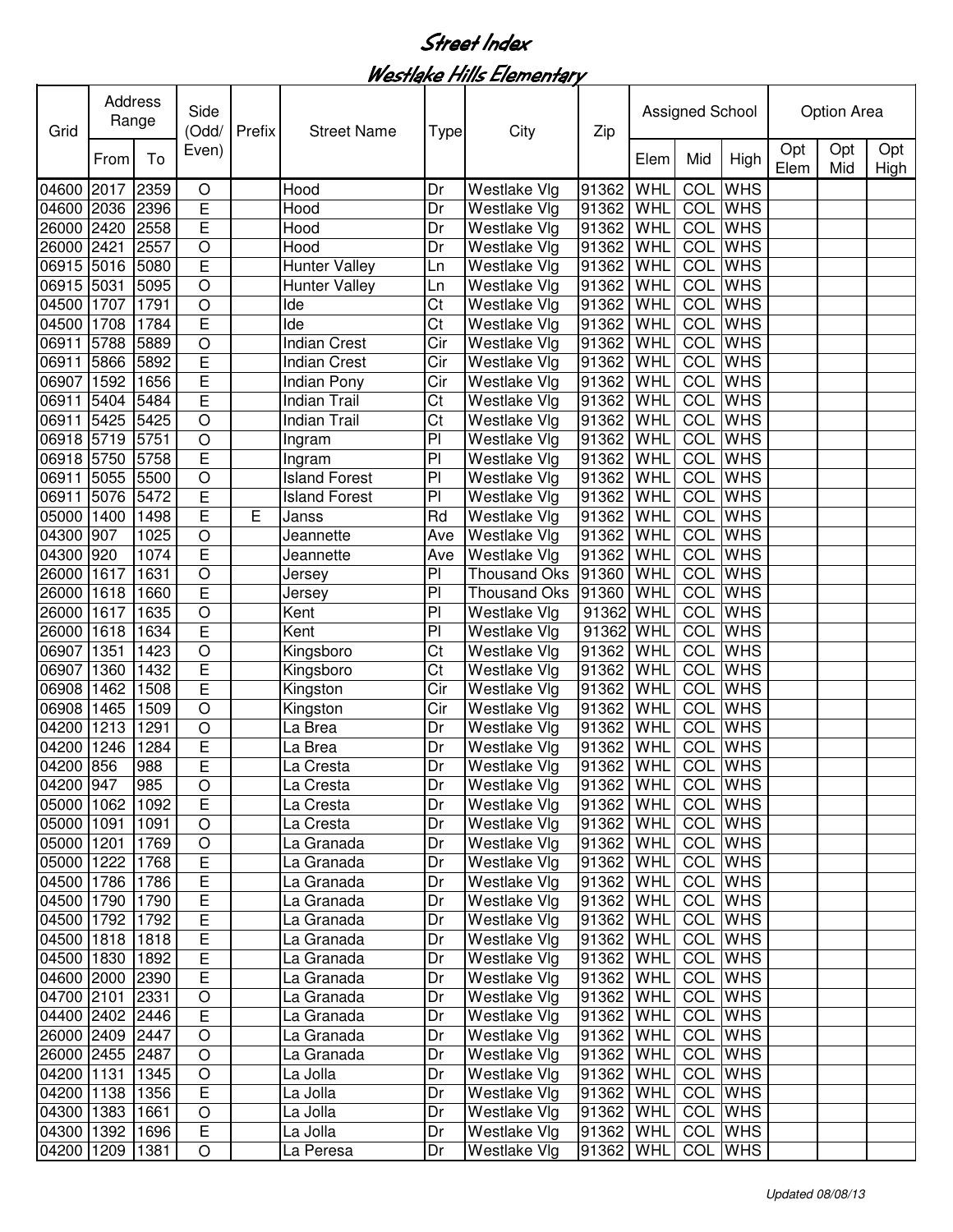#### Westlake Hills Elementary

| Grid       | Address<br>Range |      | Side<br>(Odd/  | Prefix | <b>Street Name</b>   | <b>Type</b>    | City                | Zip               |            | Assigned School |                |             | <b>Option Area</b> |             |
|------------|------------------|------|----------------|--------|----------------------|----------------|---------------------|-------------------|------------|-----------------|----------------|-------------|--------------------|-------------|
|            | From             | To   | Even)          |        |                      |                |                     |                   | Elem       | Mid             | High           | Opt<br>Elem | Opt<br>Mid         | Opt<br>High |
| 04600 2017 |                  | 2359 | O              |        | Hood                 | Dr             | Westlake Vlg        | 91362             | WHL        | COL             | <b>WHS</b>     |             |                    |             |
| 04600 2036 |                  | 2396 | E              |        | Hood                 | Dr             | Westlake Vlg        | 91362             | WHL        | COL             | <b>WHS</b>     |             |                    |             |
| 26000 2420 |                  | 2558 | $\overline{E}$ |        | Hood                 | Dr             | Westlake Vlg        | 91362             | WHL        | COL             | <b>WHS</b>     |             |                    |             |
| 26000 2421 |                  | 2557 | $\circ$        |        | Hood                 | Dr             | Westlake Vlg        | 91362             | WHL        | COL             | <b>WHS</b>     |             |                    |             |
| 06915 5016 |                  | 5080 | E              |        | <b>Hunter Valley</b> | Ln             | Westlake Vlg        | 91362             | WHL        | COL             | <b>WHS</b>     |             |                    |             |
| 06915 5031 |                  | 5095 | $\circ$        |        | <b>Hunter Valley</b> | Ln             | Westlake Vlg        | 91362             | WHL        | COL             | <b>WHS</b>     |             |                    |             |
| 04500 1707 |                  | 1791 | $\circ$        |        | Ide                  | Ct             | Westlake Vlg        | 91362             | WHL        | COL             | <b>WHS</b>     |             |                    |             |
| 04500 1708 |                  | 1784 | E              |        | Ide                  | Ct             | Westlake Vlg        | 91362             | WHL        | COL             | <b>WHS</b>     |             |                    |             |
| 06911      | 5788             | 5889 | $\circ$        |        | <b>Indian Crest</b>  | Cir            | Westlake Vlg        | 91362             | WHL        | COL             | <b>WHS</b>     |             |                    |             |
| 06911 5866 |                  | 5892 | E              |        | <b>Indian Crest</b>  | Cir            | Westlake Vlg        | 91362             | WHL        | COL             | <b>WHS</b>     |             |                    |             |
| 06907 1592 |                  | 1656 | E              |        | Indian Pony          | Cir            | Westlake Vlg        | 91362             | WHL        | COL             | <b>WHS</b>     |             |                    |             |
| 06911 5404 |                  | 5484 | E              |        | Indian Trail         | Ct             | Westlake Vlg        | 91362             | WHL        | COL             | <b>WHS</b>     |             |                    |             |
| 06911 5425 |                  | 5425 | $\circ$        |        | <b>Indian Trail</b>  | Ct             | Westlake Vlg        | 91362             | WHL        | COL             | <b>WHS</b>     |             |                    |             |
| 06918 5719 |                  | 5751 | $\overline{O}$ |        | Ingram               | $\overline{P}$ | Westlake Vlg        | 91362             | WHL        | COL             | <b>WHS</b>     |             |                    |             |
| 06918 5750 |                  | 5758 | $\overline{E}$ |        | Ingram               | $\overline{P}$ | Westlake Vlg        | 91362             | WHL        | COL             | <b>WHS</b>     |             |                    |             |
| 06911      | 5055             | 5500 | $\overline{O}$ |        | <b>Island Forest</b> | $\overline{P}$ | Westlake Vlg        | 91362             | WHL        | <b>COL</b>      | <b>WHS</b>     |             |                    |             |
| 06911      | 5076             | 5472 | $\overline{E}$ |        | <b>Island Forest</b> | PI             | Westlake Vlg        | 91362             | WHL        | <b>COL</b>      | <b>WHS</b>     |             |                    |             |
| 05000 1400 |                  | 1498 | Ē              | E      | Janss                | Rd             | Westlake Vlg        | 91362             | WHL        | <b>COL</b>      | <b>WHS</b>     |             |                    |             |
| 04300 907  |                  | 1025 | $\circ$        |        | Jeannette            | Ave            | Westlake Vlg        | 91362             | WHL        | COL             | <b>WHS</b>     |             |                    |             |
| 04300 920  |                  | 1074 | $\overline{E}$ |        | Jeannette            | Ave            | Westlake Vlg        | 91362             | WHL        | COL             | <b>WHS</b>     |             |                    |             |
| 26000      | 1617             | 1631 | $\circ$        |        | Jersey               | P <sub>1</sub> | <b>Thousand Oks</b> | 91360             | WHL        | COL             | <b>WHS</b>     |             |                    |             |
| 26000 1618 |                  | 1660 | E              |        | Jersey               | $\overline{P}$ | Thousand Oks 91360  |                   | WHL        | COL             | <b>WHS</b>     |             |                    |             |
| 26000 1617 |                  | 1635 | $\circ$        |        | Kent                 | P <sub>1</sub> | Westlake Vlg        | 91362             | WHL        | COL             | <b>WHS</b>     |             |                    |             |
| 26000 1618 |                  | 1634 | E              |        | Kent                 | $\overline{P}$ | Westlake Vlg        | 91362             | WHL        | COL             | <b>WHS</b>     |             |                    |             |
| 06907      | 1351             | 1423 | $\circ$        |        | Kingsboro            | Ct             | Westlake Vlg        | 91362             | WHL        | COL             | <b>WHS</b>     |             |                    |             |
| 06907 1360 |                  | 1432 | E              |        | Kingsboro            | Ct             | Westlake Vlg        | 91362             | WHL        | COL             | <b>WHS</b>     |             |                    |             |
| 06908 1462 |                  | 1508 | E              |        | Kingston             | Cir            | Westlake Vlg        | 91362             | WHL        | COL             | <b>WHS</b>     |             |                    |             |
| 06908 1465 |                  | 1509 | $\circ$        |        | Kingston             | Cir            | Westlake Vlg        | 91362             | WHL        | COL             | <b>WHS</b>     |             |                    |             |
| 04200 1213 |                  | 1291 | $\circ$        |        | La Brea              | Dr             | Westlake Vlg        | 91362             | WHL        | COL             | <b>WHS</b>     |             |                    |             |
| 04200      | 1246             | 1284 | E              |        | La Brea              | Dr             | Westlake Vlg        | 91362             | WHL        | COL             | <b>WHS</b>     |             |                    |             |
| 04200 856  |                  | 988  | E              |        | La Cresta            | Dr             | Westlake Vlg        | 91362             | WHL        |                 | COL WHS        |             |                    |             |
| 04200 947  |                  | 985  | $\overline{O}$ |        | La Cresta            | Dr             | Westlake Vlg        | 91362 WHL COL WHS |            |                 |                |             |                    |             |
| 05000 1062 |                  | 1092 | E              |        | La Cresta            | Dr             | Westlake Vlg        | 91362 WHL         |            |                 | COL WHS        |             |                    |             |
| 05000 1091 |                  | 1091 | O              |        | La Cresta            | Dr             | Westlake Vlg        | 91362             | <b>WHL</b> |                 | <b>COL</b> WHS |             |                    |             |
| 05000 1201 |                  | 1769 | $\circ$        |        | La Granada           | Dr             | Westlake Vlg        | 91362             | WHL        |                 | COL WHS        |             |                    |             |
| 05000 1222 |                  | 1768 | $\mathsf E$    |        | La Granada           | Dr             | Westlake Vlg        | 91362             | WHL        |                 | COL WHS        |             |                    |             |
| 04500 1786 |                  | 1786 | $\overline{E}$ |        | La Granada           | Dr             | Westlake Vlg        | 91362             | WHL        |                 | COL WHS        |             |                    |             |
| 04500 1790 |                  | 1790 | E              |        | La Granada           | Dr             | Westlake Vlg        | 91362             | WHL        |                 | COL WHS        |             |                    |             |
| 04500 1792 |                  | 1792 | E              |        | La Granada           | Dr             | Westlake Vlg        | 91362             | WHL        |                 | COL WHS        |             |                    |             |
| 04500 1818 |                  | 1818 | E              |        | La Granada           | Dr             | Westlake Vlg        | 91362             | WHL        |                 | COL WHS        |             |                    |             |
| 04500 1830 |                  | 1892 | E              |        | La Granada           | Dr             | Westlake Vlg        | 91362             | WHL        |                 | <b>COL</b> WHS |             |                    |             |
| 04600 2000 |                  | 2390 | E              |        | La Granada           | Dr             | Westlake Vlg        | 91362             | WHL        |                 | <b>COL</b> WHS |             |                    |             |
| 04700 2101 |                  | 2331 | $\circ$        |        | La Granada           | Dr             | Westlake Vlg        | 91362             | WHL        |                 | COL WHS        |             |                    |             |
| 04400 2402 |                  | 2446 | E              |        | La Granada           | Dr             | Westlake Vlg        | 91362             | WHL        |                 | <b>COL</b> WHS |             |                    |             |
| 26000 2409 |                  | 2447 | $\circ$        |        | La Granada           | Dr             | Westlake Vlg        | 91362             | WHL        |                 | COL WHS        |             |                    |             |
| 26000 2455 |                  | 2487 | $\circ$        |        | La Granada           | Dr             | Westlake Vlg        | 91362             | WHL        |                 | <b>COL</b> WHS |             |                    |             |
| 04200 1131 |                  | 1345 | $\circ$        |        | La Jolla             | Dr             | Westlake Vlg        | 91362             | WHL        |                 | COL WHS        |             |                    |             |
| 04200 1138 |                  | 1356 | E              |        | La Jolla             | Dr             | Westlake Vlg        | 91362             | WHL        |                 | COL WHS        |             |                    |             |
| 04300 1383 |                  | 1661 | $\circ$        |        | La Jolla             | Dr             | Westlake Vlg        | 91362             | WHL        |                 | COL WHS        |             |                    |             |
| 04300 1392 |                  | 1696 | E              |        | La Jolla             | Dr             | Westlake Vlg        | 91362             | WHL        |                 | <b>COL</b> WHS |             |                    |             |
| 04200 1209 |                  | 1381 | O              |        | La Peresa            | Dr             | Westlake Vlg        | 91362             | WHL        |                 | COL WHS        |             |                    |             |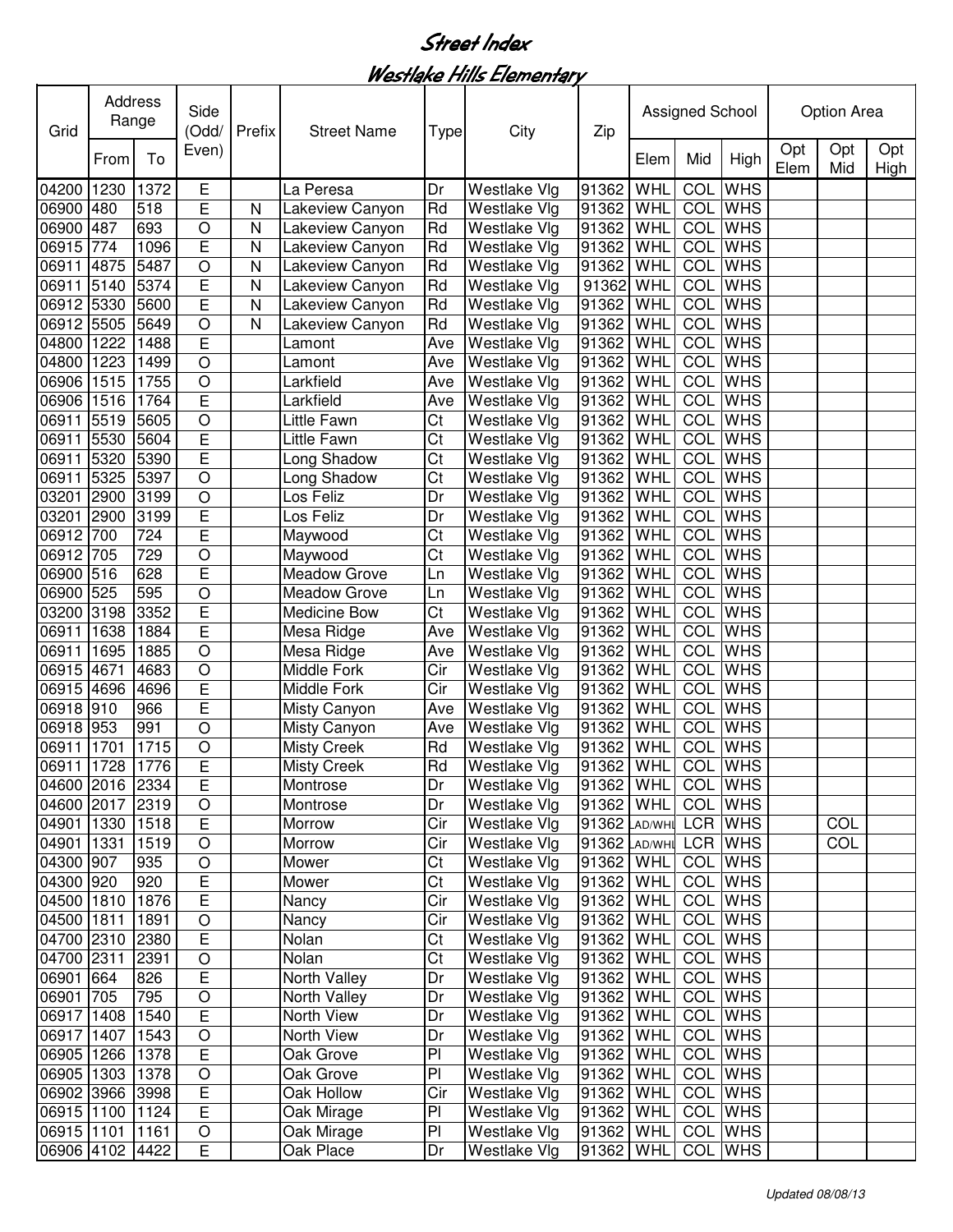#### Westlake Hills Elementary

| Grid            | Address<br>Range | Side<br>(Odd/ | Prefix         | <b>Street Name</b> | Type                | City | Zip                 |               | Assigned School |                 |                | Option Area |            |             |
|-----------------|------------------|---------------|----------------|--------------------|---------------------|------|---------------------|---------------|-----------------|-----------------|----------------|-------------|------------|-------------|
|                 | From             | To            | Even)          |                    |                     |      |                     |               | Elem            | Mid             | High           | Opt<br>Elem | Opt<br>Mid | Opt<br>High |
| 04200           | 1230             | 1372          | Е              |                    | La Peresa           | Dr   | Westlake Vlg        | 91362         | WHL             | COL             | <b>WHS</b>     |             |            |             |
| 06900 480       |                  | 518           | E              | N                  | Lakeview Canyon     | Rd   | Westlake Vlg        | 91362         | WHL             | COL             | <b>WHS</b>     |             |            |             |
| 06900           | 487              | 693           | $\circ$        | N                  | Lakeview Canyon     | Rd   | Westlake Vlg        | 91362         | WHL             | COL             | <b>WHS</b>     |             |            |             |
| 06915           | 774              | 1096          | E              | N                  | Lakeview Canyon     | Rd   | Westlake Vlg        | 91362         | WHL             | COL             | <b>WHS</b>     |             |            |             |
| 06911           | 4875             | 5487          | $\overline{O}$ | N                  | Lakeview Canyon     | Rd   | Westlake Vlg        | 91362         | WHL             | CO <sub>L</sub> | <b>WHS</b>     |             |            |             |
| 06911           | 5140             | 5374          | E              | N                  | Lakeview Canyon     | Rd   | Westlake Vlg        | 91362         | WHL             | COL             | <b>WHS</b>     |             |            |             |
| 06912 5330      |                  | 5600          | E              | N                  | Lakeview Canyon     | Rd   | Westlake Vlg        | 91362         | WHL             | COL             | <b>WHS</b>     |             |            |             |
| 06912 5505      |                  | 5649          | O              | N                  | Lakeview Canyon     | Rd   | Westlake Vlg        | 91362         | WHL             | COL             | <b>WHS</b>     |             |            |             |
| 04800 1222      |                  | 1488          | E              |                    | Lamont              | Ave  | Westlake Vlg        | 91362         | WHL             | COL             | <b>WHS</b>     |             |            |             |
| 04800 1223      |                  | 1499          | O              |                    | Lamont              | Ave  | Westlake Vlg        | 91362         | WHL             | COL             | <b>WHS</b>     |             |            |             |
| 06906 1515      |                  | 1755          | O              |                    | Larkfield           | Ave  | Westlake Vlg        | 91362         | WHL             | COL             | <b>WHS</b>     |             |            |             |
| 06906 1516      |                  | 1764          | E              |                    | Larkfield           | Ave  | Westlake Vlg        | 91362         | WHL             | COL             | <b>WHS</b>     |             |            |             |
| 06911           | 5519             | 5605          | $\circ$        |                    | Little Fawn         | Ct   | Westlake Vlg        | 91362         | WHL             | COL             | <b>WHS</b>     |             |            |             |
| 06911           | 5530             | 5604          | E              |                    | Little Fawn         | Ct   | Westlake Vlg        | 91362         | WHL             | COL             | <b>WHS</b>     |             |            |             |
| 06911           | 5320             | 5390          | Ē              |                    | Long Shadow         | Ct   | Westlake Vlg        | 91362         | WHL             | COL             | <b>WHS</b>     |             |            |             |
| 06911           | 5325             | 5397          | $\overline{O}$ |                    | Long Shadow         | Ct   | Westlake Vlg        | 91362         | WHL             | <b>COL</b>      | <b>WHS</b>     |             |            |             |
| 03201           | 2900             | 3199          | $\overline{O}$ |                    | Los Feliz           | Dr   | Westlake Vlg        | 91362         | WHL             | <b>COL</b>      | <b>WHS</b>     |             |            |             |
| 03201           | 2900             | 3199          | $\overline{E}$ |                    | Los Feliz           | Dr   | Westlake Vlg        | 91362         | WHL             | <b>COL</b>      | <b>WHS</b>     |             |            |             |
| 06912           | 700              | 724           | Ē              |                    | Maywood             | Ct   | Westlake Vlg        | 91362         | WHL             | <b>COL</b>      | <b>WHS</b>     |             |            |             |
| 06912           | 705              | 729           | $\overline{O}$ |                    | Maywood             | Ct   | Westlake Vlg        | 91362         | WHL             | <b>COL</b>      | <b>WHS</b>     |             |            |             |
| 06900 516       |                  | 628           | Ē              |                    | <b>Meadow Grove</b> | Ln   | Westlake Vlg        | 91362         | WHL             | <b>COL</b>      | <b>WHS</b>     |             |            |             |
| 06900 525       |                  | 595           | $\overline{O}$ |                    | <b>Meadow Grove</b> | Ln   | Westlake Vlg        | 91362         | WHL             | <b>COL</b>      | <b>WHS</b>     |             |            |             |
| 03200 3198      |                  | 3352          | Ē              |                    | Medicine Bow        | Ct   | Westlake Vlg        | 91362         | WHL             | <b>COL</b>      | <b>WHS</b>     |             |            |             |
| 06911           | 1638             | 1884          | E              |                    | Mesa Ridge          | Ave  | Westlake Vlg        | 91362         | WHL             | COL             | <b>WHS</b>     |             |            |             |
| 06911           | 1695             | 1885          | $\circ$        |                    | Mesa Ridge          | Ave  | Westlake Vlg        | 91362         | WHL             | <b>COL</b>      | <b>WHS</b>     |             |            |             |
| 06915 4671      |                  | 4683          | $\circ$        |                    | Middle Fork         | Cir  | Westlake Vlg        | 91362         | WHL             | COL             | <b>WHS</b>     |             |            |             |
| 06915 4696      |                  | 4696          | E              |                    | Middle Fork         | Cir  | Westlake Vlg        | 91362         | WHL             | COL             | <b>WHS</b>     |             |            |             |
| 06918 910       |                  | 966           | E              |                    | Misty Canyon        | Ave  | Westlake Vlg        | 91362         | WHL             | COL             | <b>WHS</b>     |             |            |             |
| 06918 953       |                  | 991           | $\circ$        |                    | Misty Canyon        | Ave  | Westlake Vlg        | 91362         | WHL             | COL             | <b>WHS</b>     |             |            |             |
| 06911           | 1701             | 1715          | $\circ$        |                    | <b>Misty Creek</b>  | Rd   | Westlake Vlg        | 91362         | WHL             | COL             | <b>WHS</b>     |             |            |             |
| 06911 1728      |                  | 1776          | E              |                    | <b>Misty Creek</b>  | Rd   | Westlake Vlg        | 91362         | WHL             |                 | <b>COL</b> WHS |             |            |             |
| 04600 2016 2334 |                  |               | $\overline{E}$ |                    | Montrose            | Dr   | <b>Westlake Vlg</b> | 91362 WHL     |                 |                 | <b>COL</b> WHS |             |            |             |
| 04600 2017 2319 |                  |               | $\circ$        |                    | Montrose            | Dr   | Westlake Vlg        | 91362 WHL     |                 |                 | <b>COL</b> WHS |             |            |             |
| 04901 1330      |                  | 1518          | E              |                    | Morrow              | Cir  | Westlake Vlg        | 91362 LAD/WHI |                 |                 | LCR WHS        |             | COL        |             |
| 04901 1331      |                  | 1519          | $\circ$        |                    | Morrow              | Cir  | Westlake Vlg        | 91362 LAD/WHI |                 |                 | LCR WHS        |             | COL        |             |
| 04300 907       |                  | 935           | O              |                    | Mower               | Ct   | Westlake Vlg        | 91362         | WHL             |                 | COL WHS        |             |            |             |
| 04300 920       |                  | 920           | E              |                    | Mower               | Ct   | Westlake Vlg        | 91362         | WHL             |                 | <b>COL</b> WHS |             |            |             |
| 04500 1810      |                  | 1876          | $\overline{E}$ |                    | Nancy               | Cir  | Westlake Vlg        | 91362         | WHL             |                 | <b>COL</b> WHS |             |            |             |
| 04500 1811      |                  | 1891          | O              |                    | Nancy               | Cir  | Westlake Vlg        | 91362         | WHL             |                 | <b>COL</b> WHS |             |            |             |
| 04700 2310      |                  | 2380          | $\mathsf E$    |                    | Nolan               | Ct   | Westlake Vlg        | 91362         | WHL             |                 | <b>COL</b> WHS |             |            |             |
| 04700 2311      |                  | 2391          | O              |                    | Nolan               | Ct   | Westlake Vlg        | 91362         | WHL             |                 | COL WHS        |             |            |             |
| 06901           | 664              | 826           | $\mathsf E$    |                    | North Valley        | Dr   | Westlake Vlg        | 91362         | WHL             |                 | <b>COL</b> WHS |             |            |             |
| 06901 705       |                  | 795           | $\circ$        |                    | North Valley        | Dr   | Westlake Vlg        | 91362         | WHL             |                 | <b>COL</b> WHS |             |            |             |
| 06917 1408      |                  | 1540          | $\overline{E}$ |                    | North View          | Dr   | Westlake Vlg        | 91362         | WHL             |                 | <b>COL</b> WHS |             |            |             |
| 06917 1407      |                  | 1543          | O              |                    | North View          | Dr   | Westlake Vlg        | 91362         | WHL             |                 | <b>COL</b> WHS |             |            |             |
| 06905 1266      |                  | 1378          | E              |                    | Oak Grove           | PI   | Westlake Vlg        | 91362         | WHL             |                 | <b>COL</b> WHS |             |            |             |
| 06905 1303      |                  | 1378          | $\circ$        |                    | Oak Grove           | PI   | Westlake Vlg        | 91362         | WHL             |                 | <b>COL</b> WHS |             |            |             |
| 06902 3966      |                  | 3998          | E              |                    | Oak Hollow          | Cir  | Westlake Vlg        | 91362         | WHL             |                 | <b>COL</b> WHS |             |            |             |
| 06915 1100 1124 |                  |               | $\overline{E}$ |                    | Oak Mirage          | PI   | Westlake Vlg        | 91362         | WHL             |                 | <b>COL</b> WHS |             |            |             |
| 06915 1101      |                  | 1161          | $\bigcirc$     |                    | Oak Mirage          | PI   | <b>Westlake Vlg</b> | 91362         | WHL             |                 | COL WHS        |             |            |             |
| 06906 4102      |                  | 4422          | E              |                    | Oak Place           | Dr   | Westlake Vlg        | 91362         | WHL             |                 | COL WHS        |             |            |             |
|                 |                  |               |                |                    |                     |      |                     |               |                 |                 |                |             |            |             |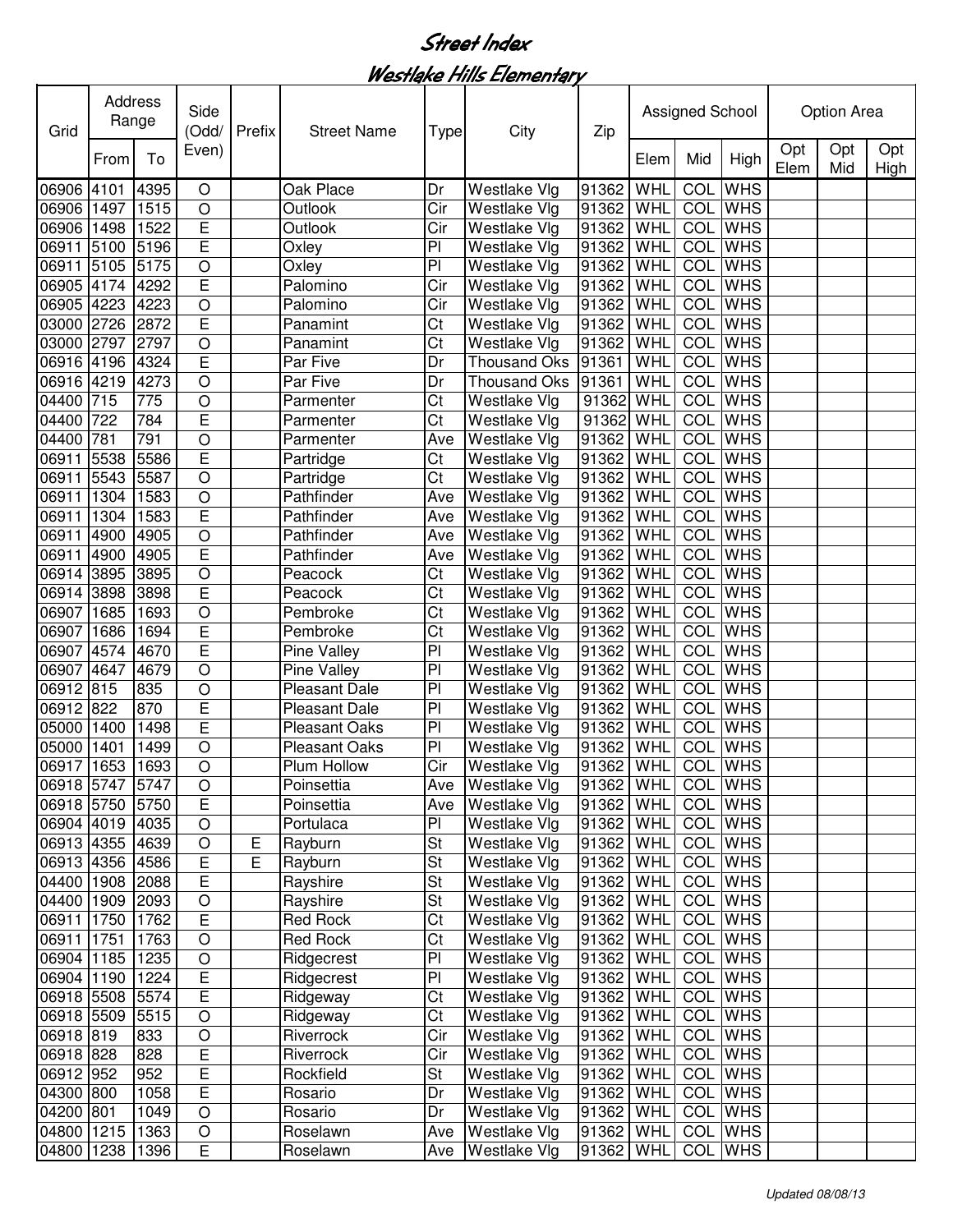Westlake Hills Elementary

| Grid            | Address<br>Range | Side<br>(Odd/ | Prefix                  | <b>Street Name</b> | <b>Type</b>          | City                     | Zip                 |                   | Assigned School |            |                | <b>Option Area</b> |            |             |
|-----------------|------------------|---------------|-------------------------|--------------------|----------------------|--------------------------|---------------------|-------------------|-----------------|------------|----------------|--------------------|------------|-------------|
|                 | From             | To            | Even)                   |                    |                      |                          |                     |                   | Elem            | Mid        | High           | Opt<br>Elem        | Opt<br>Mid | Opt<br>High |
| 06906 4101      |                  | 4395          | $\circ$                 |                    | Oak Place            | Dr                       | <b>Westlake Vlg</b> | 91362             | WHL             | COL        | <b>WHS</b>     |                    |            |             |
| 06906 1497      |                  | 1515          | $\circ$                 |                    | Outlook              | Cir                      | <b>Westlake Vlg</b> | 91362 WHL         |                 |            | COL WHS        |                    |            |             |
| 06906 1498      |                  | 1522          | E                       |                    | Outlook              | Cir                      | <b>Westlake Vlg</b> | 91362             | WHL             |            | COL WHS        |                    |            |             |
| 06911 5100      |                  | 5196          | E                       |                    | Oxley                | PI                       | Westlake Vlg        | 91362             | WHL             | COL        | <b>WHS</b>     |                    |            |             |
| 06911           | 5105             | 5175          | $\overline{O}$          |                    | Oxley                | PI                       | <b>Westlake Vlg</b> | 91362             | WHL             | COL        | <b>WHS</b>     |                    |            |             |
| 06905 4174      |                  | 4292          | E                       |                    | Palomino             | Cir                      | Westlake Vlg        | 91362             | WHL             | COL        | <b>WHS</b>     |                    |            |             |
| 06905 4223      |                  | 4223          | $\overline{O}$          |                    | Palomino             | Cir                      | <b>Westlake Vlg</b> | 91362             | WHL             | COL        | <b>WHS</b>     |                    |            |             |
| 03000 2726      |                  | 2872          | E                       |                    | Panamint             | Ct                       | Westlake Vlg        | 91362             | WHL             |            | COL WHS        |                    |            |             |
| 03000 2797      |                  | 2797          | $\bigcirc$              |                    | Panamint             | Ct                       | Westlake Vlg        | 91362             | WHL             |            | <b>COL</b> WHS |                    |            |             |
| 06916 4196      |                  | 4324          | Ē                       |                    | Par Five             | Dr                       | <b>Thousand Oks</b> | 91361             | WHL             |            | <b>COL</b> WHS |                    |            |             |
| 06916 4219      |                  | 4273          | $\circ$                 |                    | Par Five             | Dr                       | <b>Thousand Oks</b> | 91361             | WHL             | COL        | <b>WHS</b>     |                    |            |             |
| 04400 715       |                  | 775           | $\circ$                 |                    | Parmenter            | Ct                       | <b>Westlake Vlg</b> | 91362 WHL         |                 | COL        | <b>WHS</b>     |                    |            |             |
| 04400 722       |                  | 784           | E                       |                    | Parmenter            | Ct                       | Westlake Vlg        | 91362             | WHL             | COL        | <b>WHS</b>     |                    |            |             |
| 04400 781       |                  | 791           | $\circ$                 |                    | Parmenter            | Ave                      | <b>Westlake Vlg</b> | 91362             | WHL             | COL        | <b>WHS</b>     |                    |            |             |
| 06911 5538      |                  | 5586          | E                       |                    | Partridge            | Ct                       | <b>Westlake Vlg</b> | 91362             | WHL             | COL        | <b>WHS</b>     |                    |            |             |
| 06911 5543      |                  | 5587          | $\circ$                 |                    | Partridge            | Ct                       | Westlake Vlg        | 91362             | WHL             | <b>COL</b> | <b>WHS</b>     |                    |            |             |
| 06911 1304      |                  | 1583          | $\circ$                 |                    | Pathfinder           | Ave                      | Westlake Vlg        | 91362 WHL         |                 |            | <b>COL</b> WHS |                    |            |             |
| 06911           | 1304             | 1583          | Ē                       |                    | Pathfinder           | Ave                      | <b>Westlake Vlg</b> | 91362             | WHL             |            | <b>COL</b> WHS |                    |            |             |
| 06911 4900      |                  | 4905          | $\overline{O}$          |                    | Pathfinder           | Ave                      | Westlake Vlg        | 91362             | WHL             |            | <b>COL</b> WHS |                    |            |             |
| 06911           | 4900             | 4905          | E                       |                    | Pathfinder           | Ave                      | Westlake Vlg        | 91362             | WHL             |            | <b>COL</b> WHS |                    |            |             |
| 06914 3895      |                  | 3895          | $\overline{O}$          |                    | Peacock              | Ct                       | Westlake Vlg        | 91362             | WHL             |            | <b>COL</b> WHS |                    |            |             |
| 06914 3898      |                  | 3898          | Ē                       |                    | Peacock              | Ct                       | Westlake Vlg        | 91362             | WHL             |            | <b>COL</b> WHS |                    |            |             |
| 06907 1685      |                  | 1693          | $\overline{O}$          |                    | Pembroke             | Ct                       | Westlake Vlg        | 91362             | WHL             | <b>COL</b> | <b>WHS</b>     |                    |            |             |
| 06907           | 1686             | 1694          | Ē                       |                    | Pembroke             | Ct                       | Westlake Vlg        | 91362             | WHL             | <b>COL</b> | <b>WHS</b>     |                    |            |             |
| 06907           | 4574             | 4670          | E                       |                    | Pine Valley          | P <sub>1</sub>           | Westlake Vlg        | 91362             | WHL             |            | <b>COL</b> WHS |                    |            |             |
| 06907 4647      |                  | 4679          | $\circ$                 |                    | Pine Valley          | PI                       | <b>Westlake Vlg</b> | 91362             | WHL             |            | <b>COL</b> WHS |                    |            |             |
| 06912 815       |                  | 835           | $\circ$                 |                    | <b>Pleasant Dale</b> | PI                       | <b>Westlake Vlg</b> | 91362             | WHL             |            | <b>COL</b> WHS |                    |            |             |
| 06912 822       |                  | 870           | E                       |                    | <b>Pleasant Dale</b> | P <sub>1</sub>           | <b>Westlake Vlg</b> | 91362             | WHL             | COL        | <b>WHS</b>     |                    |            |             |
| 05000 1400      |                  | 1498          | E                       |                    | <b>Pleasant Oaks</b> | P <sub>1</sub>           | <b>Westlake Vlg</b> | 91362             | WHL             | COL        | <b>WHS</b>     |                    |            |             |
| 05000 1401      |                  | 1499          | $\circ$                 |                    | <b>Pleasant Oaks</b> | P                        | Westlake Vlg        | 91362             | WHL             | COL        | <b>WHS</b>     |                    |            |             |
| 06917 1653      |                  | 1693          | $\circ$                 |                    | Plum Hollow          | Cir                      | <b>Westlake Vlg</b> | 91362 WHL         |                 |            | COL WHS        |                    |            |             |
| 06918 5747 5747 |                  |               | $\overline{O}$          |                    | Poinsettia           |                          | Ave Westlake Vlg    | 91362 WHL COL WHS |                 |            |                |                    |            |             |
| 06918 5750 5750 |                  |               | E                       |                    | Poinsettia           | Ave                      | <b>Westlake Vlg</b> | 91362 WHL         |                 |            | COL WHS        |                    |            |             |
| 06904 4019 4035 |                  |               | $\circ$                 |                    | Portulaca            | PI                       | Westlake Vlg        | 91362   WHL       |                 |            | COL WHS        |                    |            |             |
| 06913 4355 4639 |                  |               | $\circ$                 | E                  | Rayburn              | St                       | <b>Westlake Vlg</b> | 91362 WHL         |                 |            | COL WHS        |                    |            |             |
| 06913 4356 4586 |                  |               | E                       | E                  | Rayburn              | <b>St</b>                | Westlake Vlg        | 91362 WHL         |                 |            | COL WHS        |                    |            |             |
| 04400 1908 2088 |                  |               | E                       |                    | Rayshire             | St                       | <b>Westlake Vlg</b> | 91362 WHL         |                 |            | <b>COL</b> WHS |                    |            |             |
| 04400 1909 2093 |                  |               | $\bigcirc$              |                    | Rayshire             | St                       | Westlake Vlg        | 91362 WHL         |                 |            | COL WHS        |                    |            |             |
| 06911 1750      |                  | 1762          | $\overline{\mathsf{E}}$ |                    | Red Rock             | Ct                       | <b>Westlake Vlg</b> | 91362 WHL         |                 |            | COL WHS        |                    |            |             |
| 06911 1751      |                  | 1763          | $\bigcirc$              |                    | Red Rock             | Ct                       | Westlake Vlg        | 91362 WHL         |                 |            | COL WHS        |                    |            |             |
| 06904 1185      |                  | 1235          | $\bigcirc$              |                    | Ridgecrest           | PI                       | Westlake Vlg        | 91362 WHL         |                 |            | COL WHS        |                    |            |             |
| 06904 1190      |                  | 1224          | $\overline{E}$          |                    | Ridgecrest           | $\overline{P}$           | <b>Westlake Vlg</b> | 91362 WHL         |                 |            | COL WHS        |                    |            |             |
| 06918 5508      |                  | 5574          | E                       |                    | Ridgeway             | $\overline{\text{C}t}$   | <b>Westlake Vlg</b> | 91362 WHL         |                 |            | COL WHS        |                    |            |             |
| 06918 5509      |                  | 5515          | $\bigcirc$              |                    | Ridgeway             | Ct                       | <b>Westlake Vlg</b> | 91362 WHL         |                 |            | COL WHS        |                    |            |             |
| 06918 819       |                  | 833           | $\circ$                 |                    | Riverrock            | Cir                      | Westlake Vlg        | 91362 WHL         |                 |            | <b>COL</b> WHS |                    |            |             |
| 06918 828       |                  | 828           | E                       |                    | Riverrock            | Cir                      | Westlake Vlg        | 91362 WHL         |                 |            | <b>COL</b> WHS |                    |            |             |
| 06912 952       |                  | 952           | $\overline{E}$          |                    | Rockfield            | $\overline{\mathsf{St}}$ | <b>Westlake Vlg</b> | 91362 WHL         |                 |            | COL WHS        |                    |            |             |
| 04300 800       |                  | 1058          | $\overline{E}$          |                    | Rosario              | Dr                       | Westlake Vlg        | 91362 WHL         |                 |            | COL WHS        |                    |            |             |
| 04200 801       |                  | 1049          | $\circ$                 |                    | Rosario              | Dr                       | <b>Westlake Vlg</b> | 91362 WHL         |                 |            | COL WHS        |                    |            |             |
| 04800 1215      |                  | 1363          | $\bigcirc$              |                    | Roselawn             | Ave                      | <b>Westlake Vlg</b> | 91362 WHL         |                 |            | COL WHS        |                    |            |             |
| 04800 1238      |                  | 1396          | E                       |                    | Roselawn             | Ave                      | Westlake Vlg        | 91362 WHL         |                 |            | COL WHS        |                    |            |             |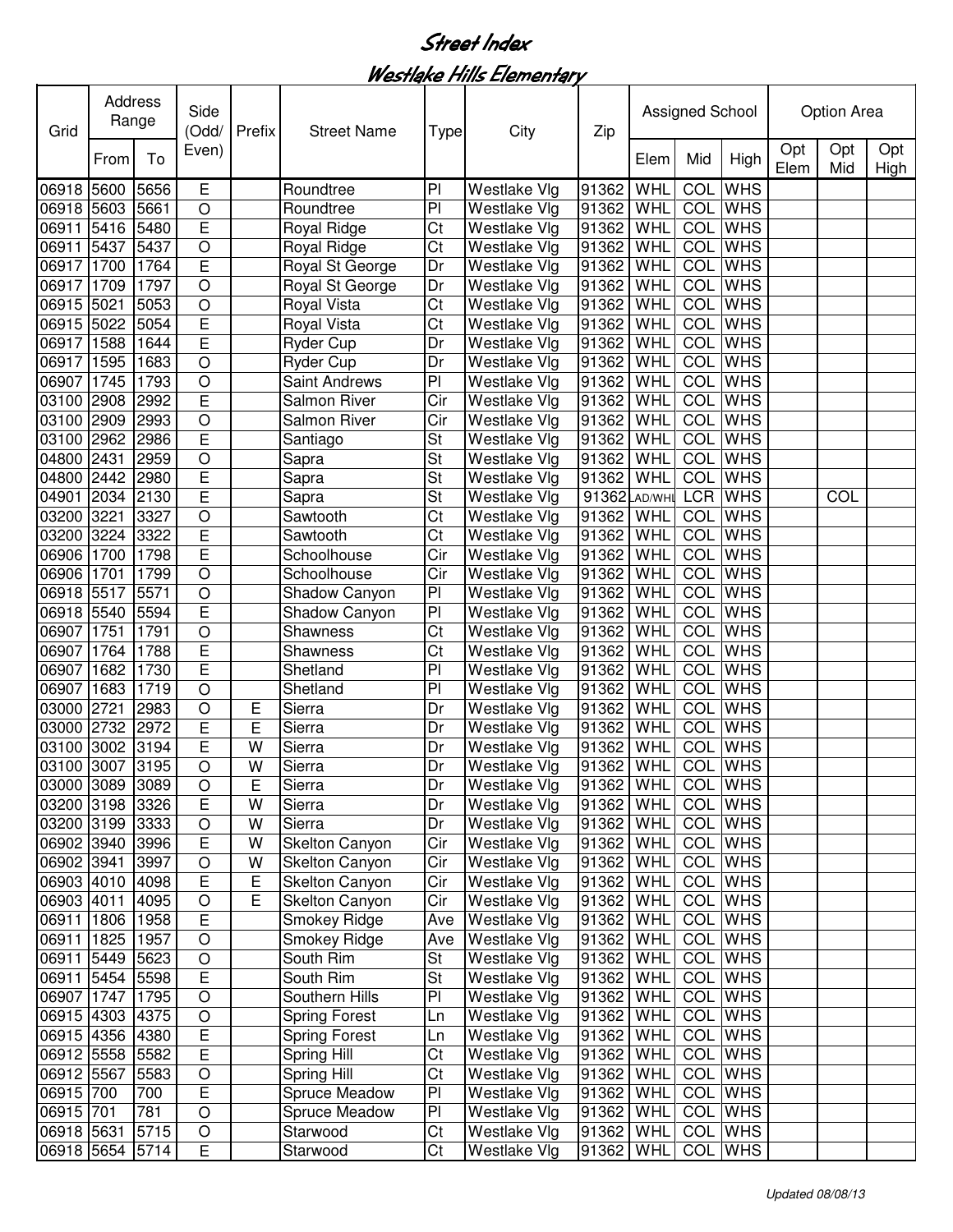Westlake Hills Elementary

| Grid            |      | Address<br>Range | Side<br>(Odd/  | Prefix         | <b>Street Name</b>    | Type                     | City                | Zip               |      | Assigned School |                |             | <b>Option Area</b> |             |
|-----------------|------|------------------|----------------|----------------|-----------------------|--------------------------|---------------------|-------------------|------|-----------------|----------------|-------------|--------------------|-------------|
|                 | From | To               | Even)          |                |                       |                          |                     |                   | Elem | Mid             | High           | Opt<br>Elem | Opt<br>Mid         | Opt<br>High |
| 06918 5600      |      | 5656             | E              |                | Roundtree             | P <sub>1</sub>           | Westlake Vlg        | 91362             | WHL  | COL             | <b>WHS</b>     |             |                    |             |
| 06918 5603      |      | 5661             | $\circ$        |                | Roundtree             | PI                       | Westlake Vlg        | 91362             | WHL  | COL             | <b>WHS</b>     |             |                    |             |
| 06911           | 5416 | 5480             | E              |                | Royal Ridge           | Ct                       | Westlake Vlg        | 91362             | WHL  | COL             | <b>WHS</b>     |             |                    |             |
| 06911           | 5437 | 5437             | $\overline{O}$ |                | Royal Ridge           | Ct                       | Westlake Vlg        | 91362             | WHL  | COL             | <b>WHS</b>     |             |                    |             |
| 06917           | 1700 | 1764             | E              |                | Royal St George       | Dr                       | Westlake Vlg        | 91362             | WHL  | COL             | <b>WHS</b>     |             |                    |             |
| 06917           | 1709 | 1797             | $\overline{O}$ |                | Royal St George       | Dr                       | Westlake Vlg        | 91362             | WHL  | COL             | <b>WHS</b>     |             |                    |             |
| 06915 5021      |      | 5053             | $\overline{O}$ |                | Royal Vista           | Ct                       | Westlake Vlg        | 91362             | WHL  | COL             | <b>WHS</b>     |             |                    |             |
| 06915           | 5022 | 5054             | E              |                | Royal Vista           | Ct                       | Westlake Vlg        | 91362             | WHL  | COL             | <b>WHS</b>     |             |                    |             |
| 06917           | 1588 | 1644             | Ē              |                | Ryder Cup             | Dr                       | Westlake Vlg        | 91362             | WHL  | COL             | <b>WHS</b>     |             |                    |             |
| 06917           | 1595 | 1683             | $\circ$        |                | <b>Ryder Cup</b>      | Dr                       | Westlake Vlg        | 91362             | WHL  | COL             | <b>WHS</b>     |             |                    |             |
| 06907 1745      |      | 1793             | $\circ$        |                | Saint Andrews         | PI                       | Westlake Vlg        | 91362             | WHL  | COL             | <b>WHS</b>     |             |                    |             |
| 03100 2908      |      | 2992             | E              |                | <b>Salmon River</b>   | Cir                      | <b>Westlake Vlg</b> | 91362             | WHL  | COL             | <b>WHS</b>     |             |                    |             |
| 03100 2909      |      | 2993             | $\circ$        |                | Salmon River          | Cir                      | Westlake Vlg        | 91362             | WHL  | COL             | <b>WHS</b>     |             |                    |             |
| 03100 2962      |      | 2986             | E              |                | Santiago              | St                       | Westlake Vlg        | 91362             | WHL  | COL             | <b>WHS</b>     |             |                    |             |
| 04800 2431      |      | 2959             | $\circ$        |                | Sapra                 | $\overline{\mathsf{St}}$ | Westlake Vlg        | 91362             | WHL  | COL             | <b>WHS</b>     |             |                    |             |
| 04800 2442      |      | 2980             | E              |                | Sapra                 | St                       | <b>Westlake Vlg</b> | 91362             | WHL  | COL             | <b>WHS</b>     |             |                    |             |
| 04901 2034      |      | 2130             | Ē              |                | Sapra                 | $\overline{\mathsf{St}}$ | Westlake Vlg        | 91362 AD/WHI      |      |                 | <b>LCR WHS</b> |             | COL                |             |
| 03200 3221      |      | 3327             | $\circ$        |                | Sawtooth              | $\overline{\text{Ct}}$   | Westlake Vlg        | 91362             | WHL  | <b>COL</b>      | <b>WHS</b>     |             |                    |             |
| 03200 3224      |      | 3322             | Ē              |                | Sawtooth              | $\overline{\text{Ct}}$   | Westlake Vlg        | 91362             | WHL  | <b>COL</b>      | <b>WHS</b>     |             |                    |             |
| 06906 1700      |      | 1798             | E              |                | Schoolhouse           | Cir                      | Westlake Vlg        | 91362             | WHL  | COL             | <b>WHS</b>     |             |                    |             |
| 06906 1701      |      | 1799             | $\overline{O}$ |                | Schoolhouse           | Cir                      | Westlake Vlg        | 91362             | WHL  | <b>COL</b>      | <b>WHS</b>     |             |                    |             |
| 06918           | 5517 | 5571             | $\bigcirc$     |                | Shadow Canyon         | PI                       | Westlake Vlg        | 91362             | WHL  | <b>COL</b>      | <b>WHS</b>     |             |                    |             |
| 06918 5540      |      | 5594             | Ē              |                | Shadow Canyon         | $\overline{P}$           | Westlake Vlg        | 91362             | WHL  | <b>COL</b>      | <b>WHS</b>     |             |                    |             |
| 06907           | 1751 | 1791             | $\bigcirc$     |                | Shawness              | $\overline{\text{Ct}}$   | Westlake Vlg        | 91362             | WHL  | <b>COL</b>      | <b>WHS</b>     |             |                    |             |
| 06907           | 1764 | 1788             | E              |                | Shawness              | Ct                       | Westlake Vlg        | 91362             | WHL  | <b>COL</b>      | <b>WHS</b>     |             |                    |             |
| 06907           | 1682 | 1730             | E              |                | Shetland              | P                        | Westlake Vlg        | 91362             | WHL  | COL             | <b>WHS</b>     |             |                    |             |
| 06907           | 1683 | 1719             | $\circ$        |                | Shetland              | P <sub>1</sub>           | Westlake Vlg        | 91362             | WHL  | COL             | <b>WHS</b>     |             |                    |             |
| 03000 2721      |      | 2983             | $\circ$        | Е              | Sierra                | Dr                       | Westlake Vlg        | 91362             | WHL  | COL             | <b>WHS</b>     |             |                    |             |
| 03000 2732      |      | 2972             | E              | E              | Sierra                | Dr                       | <b>Westlake Vlg</b> | 91362             | WHL  | COL             | <b>WHS</b>     |             |                    |             |
| 03100 3002      |      | 3194             | E              | W              | Sierra                | Dr                       | Westlake Vlg        | 91362             | WHL  | COL             | <b>WHS</b>     |             |                    |             |
| 03100 3007      |      | 3195             | $\circ$        | W              | Sierra                | Dr                       | Westlake Vlg        | 91362             | WHL  | COL             | <b>WHS</b>     |             |                    |             |
| 03000 3089 3089 |      |                  | $\bigcirc$     | E              | Sierra                | Dr                       | Westlake Vlg        | 91362 WHL COL WHS |      |                 |                |             |                    |             |
| 03200 3198 3326 |      |                  | E              | W              | Sierra                | Dr                       | <b>Westlake Vlg</b> | 91362 WHL         |      |                 | COL WHS        |             |                    |             |
| 03200 3199 3333 |      |                  | $\circ$        | W              | Sierra                | Dr                       | <b>Westlake Vlg</b> | 91362 WHL         |      |                 | COL WHS        |             |                    |             |
| 06902 3940 3996 |      |                  | $\mathsf E$    | W              | <b>Skelton Canyon</b> | Cir                      | <b>Westlake Vlg</b> | 91362 WHL         |      |                 | COL WHS        |             |                    |             |
| 06902 3941      |      | 3997             | $\circ$        | W              | <b>Skelton Canyon</b> | Cir                      | Westlake Vlg        | 91362 WHL         |      |                 | <b>COL</b> WHS |             |                    |             |
| 06903 4010 4098 |      |                  | E              | $\mathsf E$    | <b>Skelton Canyon</b> | Cir                      | <b>Westlake Vlg</b> | 91362 WHL         |      |                 | <b>COL</b> WHS |             |                    |             |
| 06903 4011      |      | 4095             | $\circ$        | $\overline{E}$ | Skelton Canyon        | Cir                      | <b>Westlake Vlg</b> | 91362 WHL         |      |                 | COL WHS        |             |                    |             |
| 06911 1806      |      | 1958             | $\overline{E}$ |                | Smokey Ridge          | Ave                      | Westlake Vlg        | 91362 WHL         |      |                 | COL WHS        |             |                    |             |
| 06911 1825      |      | 1957             | $\bigcirc$     |                | Smokey Ridge          | Ave                      | <b>Westlake Vlg</b> | 91362 WHL         |      |                 | COL WHS        |             |                    |             |
| 06911 5449      |      | 5623             | $\bigcirc$     |                | South Rim             | <b>St</b>                | <b>Westlake VIg</b> | 91362 WHL         |      |                 | COL WHS        |             |                    |             |
| 06911 5454      |      | 5598             | $\overline{E}$ |                | South Rim             | <b>St</b>                | <b>Westlake Vlg</b> | 91362 WHL         |      |                 | COL WHS        |             |                    |             |
| 06907 1747      |      | 1795             | $\bigcirc$     |                | Southern Hills        | PI                       | Westlake Vlg        | 91362 WHL         |      |                 | COL WHS        |             |                    |             |
| 06915 4303      |      | 4375             | $\bigcirc$     |                | <b>Spring Forest</b>  | Ln                       | <b>Westlake Vlg</b> | 91362 WHL         |      |                 | COL WHS        |             |                    |             |
| 06915 4356      |      | 4380             | $\mathsf E$    |                | <b>Spring Forest</b>  | Ln                       | Westlake Vlg        | 91362 WHL         |      |                 | COL WHS        |             |                    |             |
| 06912 5558      |      | 5582             | E              |                | Spring Hill           | Ct                       | <b>Westlake Vlg</b> | 91362 WHL         |      |                 | <b>COL</b> WHS |             |                    |             |
| 06912 5567      |      | 5583             | $\bigcirc$     |                | Spring Hill           | Ct                       | Westlake Vlg        | 91362 WHL         |      |                 | <b>COL</b> WHS |             |                    |             |
| 06915 700       |      | 700              | E              |                | Spruce Meadow         | P                        | <b>Westlake Vlg</b> | 91362 WHL         |      |                 | <b>COL</b> WHS |             |                    |             |
| 06915 701       |      | 781              | $\bigcirc$     |                | Spruce Meadow         | $\overline{P}$           | <b>Westlake Vlg</b> | 91362 WHL         |      |                 | <b>COL</b> WHS |             |                    |             |
| 06918 5631      |      | 5715             | $\bigcirc$     |                | Starwood              | Ct                       | <b>Westlake Vlg</b> | 91362 WHL         |      |                 | COL WHS        |             |                    |             |
| 06918 5654      |      | 5714             | E              |                | Starwood              | Ct                       | Westlake Vlg        | 91362 WHL         |      |                 | COL WHS        |             |                    |             |
|                 |      |                  |                |                |                       |                          |                     |                   |      |                 |                |             |                    |             |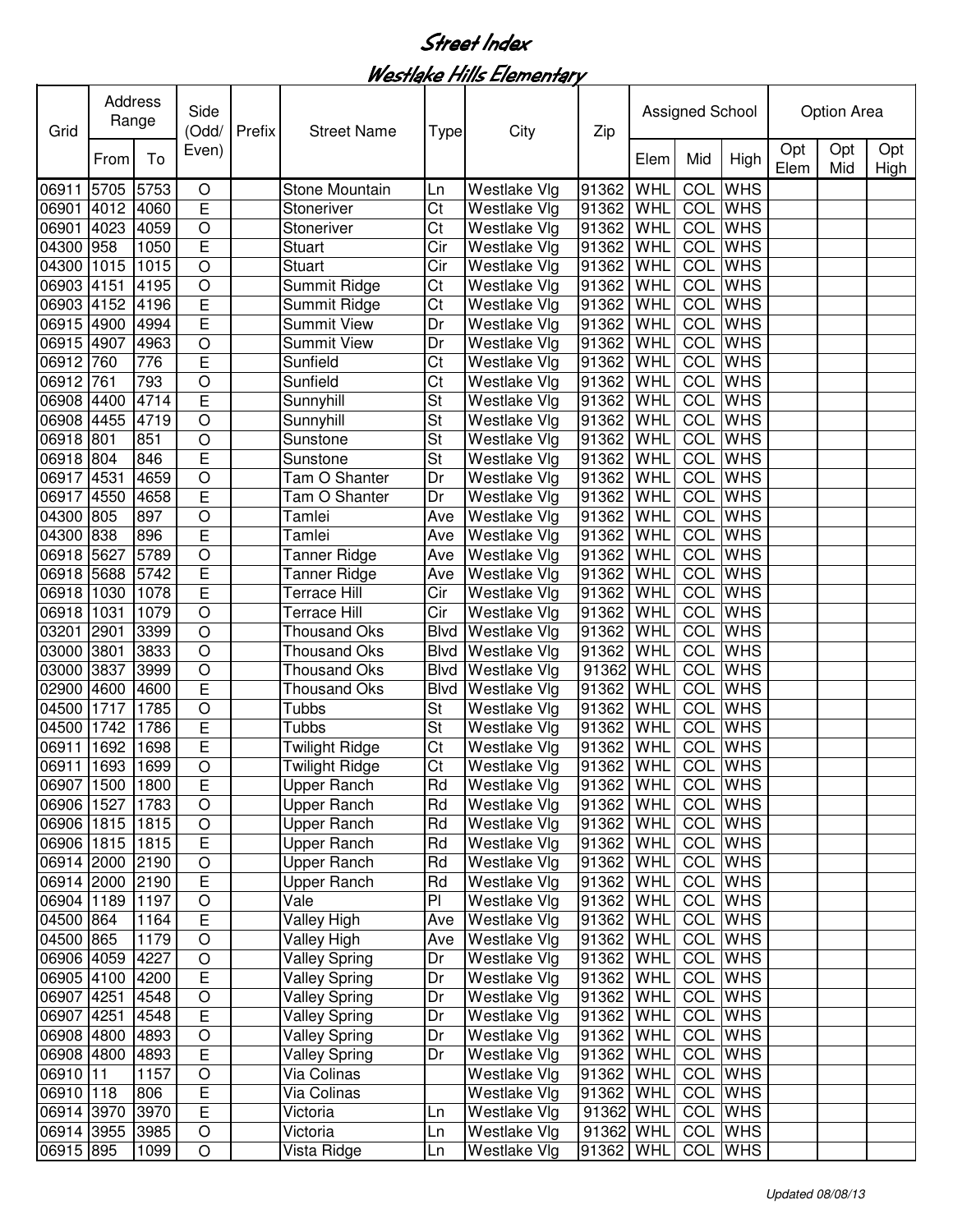Westlake Hills Elementary

| Opt<br>Opt<br>Opt<br>Even)<br>To<br>Mid<br>High<br>Elem<br>From<br>Elem<br>Mid<br>High<br>WHL<br><b>WHS</b><br>91362<br>COL<br>5705<br>5753<br>Stone Mountain<br>Westlake Vlg<br>O<br>Ln<br>E<br>Ct<br><b>COL</b> WHS<br>06901 4012<br>4060<br>WHL<br><b>Westlake Vlg</b><br>91362<br>Stoneriver<br>$\circ$<br>COL<br><b>WHS</b><br>06901 4023<br>4059<br>Ct<br>WHL<br><b>Westlake Vlg</b><br>91362<br>Stoneriver<br>E<br>COL<br><b>WHS</b><br>1050<br>Cir<br>WHL<br>04300 958<br><b>Stuart</b><br>Westlake Vlg<br>91362<br><b>WHS</b><br>04300 1015<br>1015<br>$\circ$<br><b>Stuart</b><br>WHL<br>COL<br>Cir<br>Westlake Vlg<br>91362<br>$\circ$<br>COL<br><b>WHS</b><br>WHL<br>06903 4151<br>4195<br>Summit Ridge<br>Ct<br>Westlake Vlg<br>91362<br>$\overline{E}$<br>COL<br>06903 4152<br>4196<br>WHL<br><b>WHS</b><br>Ct<br>Westlake Vlg<br>91362<br>Summit Ridge<br>Ē<br><b>COL</b> WHS<br>06915 4900<br>91362<br>4994<br><b>Summit View</b><br><b>Westlake Vlg</b><br>WHL<br>Dr<br><b>COL</b> WHS<br>06915 4907<br>O<br>91362<br>4963<br><b>Summit View</b><br><b>Westlake Vlg</b><br>WHL<br>Dr<br>E<br><b>COL</b> WHS<br>06912 760<br>Ct<br>91362<br>776<br>Sunfield<br><b>Westlake Vlg</b><br>WHL<br>$\circ$<br>06912 761<br>793<br>Ct<br>91362<br>WHL<br>COL<br><b>WHS</b><br>Sunfield<br><b>Westlake Vlg</b><br>E<br>06908 4400<br>4714<br>St<br>91362<br>WHL<br>COL<br><b>WHS</b><br>Sunnyhill<br><b>Westlake Vlg</b><br>St<br>COL<br><b>WHS</b><br>06908 4455<br>4719<br>O<br>91362<br>WHL<br><b>Westlake Vlg</b><br>Sunnyhill<br>O<br>St<br>COL<br><b>WHS</b><br>06918 801<br>91362<br>WHL<br>851<br><b>Westlake Vlg</b><br>Sunstone<br>E<br>St<br>COL<br><b>WHS</b><br>06918 804<br><b>Westlake Vlg</b><br>91362<br>WHL<br>846<br>Sunstone<br><b>COL</b><br><b>WHS</b><br>06917 4531<br>4659<br>$\circ$<br>Tam O Shanter<br>91362<br>WHL<br>Dr<br>Westlake Vlg<br><b>COL</b><br>4658<br>E<br>Tam O Shanter<br><b>WHS</b><br>06917 4550<br>Westlake Vlg<br>91362<br>WHL<br>Dr<br><b>COL</b> WHS<br>04300 805<br>897<br>O<br>91362<br>WHL<br>Tamlei<br>Ave<br><b>Westlake Vlg</b><br>E<br><b>COL</b> WHS<br>04300 838<br>896<br>WHL<br>Westlake Vlg<br>91362<br>Tamlei<br>Ave<br>$\overline{O}$<br><b>COL</b> WHS<br>06918 5627<br>5789<br>WHL<br>Westlake Vlg<br>91362<br>Tanner Ridge<br>Ave<br>$\overline{E}$<br><b>COL</b><br><b>WHS</b><br>5742<br>WHL<br>06918 5688<br>Westlake Vlg<br>91362<br>Tanner Ridge<br>Ave<br>Ē<br><b>COL</b><br><b>WHS</b><br>06918 1030<br>1078<br>WHL<br><b>Terrace Hill</b><br>Cir<br>Westlake Vlg<br>91362<br>$\overline{O}$<br><b>COL</b><br><b>WHS</b><br>06918 1031<br>1079<br>Terrace Hill<br>WHL<br>Cir<br>Westlake Vlg<br>91362<br>$\overline{O}$<br><b>COL</b><br>03201 2901<br>3399<br>91362<br>WHL<br><b>WHS</b><br><b>Thousand Oks</b><br><b>Blvd</b><br>Westlake Vlg<br>$\circ$<br>COL<br>03000 3801<br>3833<br><b>Thousand Oks</b><br><b>Blvd</b><br>Westlake Vlg<br>91362<br>WHL<br><b>WHS</b><br>03000 3837<br>91362<br>COL<br>3999<br>O<br><b>Thousand Oks</b><br><b>Blvd</b><br>Westlake Vlg<br>WHL<br><b>WHS</b><br>E<br><b>COL</b> WHS<br>02900 4600<br>4600<br><b>Blvd</b><br><b>Westlake Vlg</b><br>91362<br>WHL<br>Thousand Oks<br>04500 1717<br>$\circ$<br><b>St</b><br>91362<br>WHL<br>COL<br><b>WHS</b><br>1785<br>Tubbs<br>Westlake Vlg<br>COL<br>04500 1742<br>E<br>Tubbs<br><b>St</b><br>WHL<br><b>WHS</b><br>1786<br>Westlake Vlg<br>91362<br>E<br>06911 1692<br>Ct<br>91362<br>WHL<br>COL<br><b>WHS</b><br>1698<br><b>Twilight Ridge</b><br><b>Westlake Vlg</b><br>91362 WHL<br>COL WHS<br>06911 1693<br>1699<br>$\circ$<br>Ct<br>Westlake Vlg<br><b>Twilight Ridge</b><br>06907 1500 1800<br>COL WHS<br>$\overline{E}$<br>Rd<br>91362 WHL<br><b>Upper Ranch</b><br>Westlake Vlg<br>$\circ$<br>1783<br>Rd<br>91362 WHL<br>COL WHS<br>06906 1527<br>Upper Ranch<br>Westlake Vlg<br>O<br>Rd<br><b>COL</b> WHS<br>06906 1815<br>1815<br>Upper Ranch<br>Westlake Vlg<br>91362 WHL<br>E<br>COL WHS<br>06906 1815<br>1815<br>Rd<br>91362 WHL<br>Upper Ranch<br>Westlake Vlg<br>$\circ$<br>COL WHS<br>06914 2000<br>2190<br><b>Upper Ranch</b><br>Westlake Vlg<br><b>WHL</b><br>Rd<br>91362<br>E<br>COL WHS<br>06914 2000<br><b>Upper Ranch</b><br>Rd<br>Westlake Vlg<br>91362<br>WHL<br>2190<br>$\bigcirc$<br>Vale<br>PI<br>COL WHS<br>06904 1189<br>1197<br>Westlake Vlg<br>91362<br>WHL<br>$\overline{E}$<br>COL WHS<br>04500 864<br>Valley High<br>Westlake Vlg<br>91362<br>WHL<br>1164<br>Ave<br>$\circ$<br>COL WHS<br>04500 865<br>1179<br>Valley High<br>Westlake Vlg<br>WHL<br>Ave<br>91362<br>$\circ$<br><b>COL</b> WHS<br>06906 4059<br>4227<br>91362 WHL<br><b>Valley Spring</b><br>Dr<br>Westlake Vlg<br>E<br>06905 4100<br><b>Valley Spring</b><br>Westlake Vlg<br>91362 WHL<br>COL WHS<br>4200<br>Dr<br>COL WHS<br>06907 4251<br>O<br><b>Valley Spring</b><br>Dr<br>Westlake Vlg<br>91362 WHL<br>4548<br>E<br><b>COL</b> WHS<br>06907 4251<br><b>Valley Spring</b><br>Dr<br>Westlake Vlg<br>91362<br>WHL<br>4548<br><b>COL</b> WHS<br>06908 4800<br>$\circ$<br><b>Valley Spring</b><br>Dr<br>Westlake Vlg<br>91362<br>WHL<br>4893<br>E<br><b>COL</b> WHS<br>06908 4800<br><b>Valley Spring</b><br>Westlake Vlg<br>91362<br>WHL<br>4893<br>Dr<br>06910 11<br><b>COL</b> WHS<br>1157<br>$\circ$<br>Via Colinas<br>Westlake Vlg<br>91362<br>WHL<br>06910 118<br>E<br><b>COL</b> WHS<br>806<br>Via Colinas<br>Westlake Vlg<br>91362<br>WHL<br>E<br><b>COL</b> WHS<br>06914 3970<br>3970<br>Victoria<br>Westlake Vlg<br>91362 WHL<br>Ln<br>COL WHS<br>06914 3955<br>3985<br>$\circ$<br>Victoria<br>Westlake Vlg<br>91362 WHL<br>Ln<br>06915 895<br>COL WHS<br>91362 WHL | Grid  | Address<br>Range | Side<br>(Odd/ | Prefix | <b>Street Name</b> | Type        | City | Zip          | Assigned School |  | <b>Option Area</b> |  |  |
|--------------------------------------------------------------------------------------------------------------------------------------------------------------------------------------------------------------------------------------------------------------------------------------------------------------------------------------------------------------------------------------------------------------------------------------------------------------------------------------------------------------------------------------------------------------------------------------------------------------------------------------------------------------------------------------------------------------------------------------------------------------------------------------------------------------------------------------------------------------------------------------------------------------------------------------------------------------------------------------------------------------------------------------------------------------------------------------------------------------------------------------------------------------------------------------------------------------------------------------------------------------------------------------------------------------------------------------------------------------------------------------------------------------------------------------------------------------------------------------------------------------------------------------------------------------------------------------------------------------------------------------------------------------------------------------------------------------------------------------------------------------------------------------------------------------------------------------------------------------------------------------------------------------------------------------------------------------------------------------------------------------------------------------------------------------------------------------------------------------------------------------------------------------------------------------------------------------------------------------------------------------------------------------------------------------------------------------------------------------------------------------------------------------------------------------------------------------------------------------------------------------------------------------------------------------------------------------------------------------------------------------------------------------------------------------------------------------------------------------------------------------------------------------------------------------------------------------------------------------------------------------------------------------------------------------------------------------------------------------------------------------------------------------------------------------------------------------------------------------------------------------------------------------------------------------------------------------------------------------------------------------------------------------------------------------------------------------------------------------------------------------------------------------------------------------------------------------------------------------------------------------------------------------------------------------------------------------------------------------------------------------------------------------------------------------------------------------------------------------------------------------------------------------------------------------------------------------------------------------------------------------------------------------------------------------------------------------------------------------------------------------------------------------------------------------------------------------------------------------------------------------------------------------------------------------------------------------------------------------------------------------------------------------------------------------------------------------------------------------------------------------------------------------------------------------------------------------------------------------------------------------------------------------------------------------------------------------------------------------------------------------------------------------------------------------------------------------------------------------------------------------------------------------------------------------------------------------------------------------------------------------------------------------------------------------------------------------------------------------------------------------------------------------------------------------------------------------------------------------------------------------------------------------------------------------------------------------------------------------------------------------------------------------------------------------------------------------------------------------------------------------------------------------------------------------------------------------------------------------------------------------------------------------------------------------------------------------------------------------------------------------------------------|-------|------------------|---------------|--------|--------------------|-------------|------|--------------|-----------------|--|--------------------|--|--|
|                                                                                                                                                                                                                                                                                                                                                                                                                                                                                                                                                                                                                                                                                                                                                                                                                                                                                                                                                                                                                                                                                                                                                                                                                                                                                                                                                                                                                                                                                                                                                                                                                                                                                                                                                                                                                                                                                                                                                                                                                                                                                                                                                                                                                                                                                                                                                                                                                                                                                                                                                                                                                                                                                                                                                                                                                                                                                                                                                                                                                                                                                                                                                                                                                                                                                                                                                                                                                                                                                                                                                                                                                                                                                                                                                                                                                                                                                                                                                                                                                                                                                                                                                                                                                                                                                                                                                                                                                                                                                                                                                                                                                                                                                                                                                                                                                                                                                                                                                                                                                                                                                                                                                                                                                                                                                                                                                                                                                                                                                                                                                                                                                                                        |       |                  |               |        |                    |             |      |              |                 |  |                    |  |  |
|                                                                                                                                                                                                                                                                                                                                                                                                                                                                                                                                                                                                                                                                                                                                                                                                                                                                                                                                                                                                                                                                                                                                                                                                                                                                                                                                                                                                                                                                                                                                                                                                                                                                                                                                                                                                                                                                                                                                                                                                                                                                                                                                                                                                                                                                                                                                                                                                                                                                                                                                                                                                                                                                                                                                                                                                                                                                                                                                                                                                                                                                                                                                                                                                                                                                                                                                                                                                                                                                                                                                                                                                                                                                                                                                                                                                                                                                                                                                                                                                                                                                                                                                                                                                                                                                                                                                                                                                                                                                                                                                                                                                                                                                                                                                                                                                                                                                                                                                                                                                                                                                                                                                                                                                                                                                                                                                                                                                                                                                                                                                                                                                                                                        | 06911 |                  |               |        |                    |             |      |              |                 |  |                    |  |  |
|                                                                                                                                                                                                                                                                                                                                                                                                                                                                                                                                                                                                                                                                                                                                                                                                                                                                                                                                                                                                                                                                                                                                                                                                                                                                                                                                                                                                                                                                                                                                                                                                                                                                                                                                                                                                                                                                                                                                                                                                                                                                                                                                                                                                                                                                                                                                                                                                                                                                                                                                                                                                                                                                                                                                                                                                                                                                                                                                                                                                                                                                                                                                                                                                                                                                                                                                                                                                                                                                                                                                                                                                                                                                                                                                                                                                                                                                                                                                                                                                                                                                                                                                                                                                                                                                                                                                                                                                                                                                                                                                                                                                                                                                                                                                                                                                                                                                                                                                                                                                                                                                                                                                                                                                                                                                                                                                                                                                                                                                                                                                                                                                                                                        |       |                  |               |        |                    |             |      |              |                 |  |                    |  |  |
|                                                                                                                                                                                                                                                                                                                                                                                                                                                                                                                                                                                                                                                                                                                                                                                                                                                                                                                                                                                                                                                                                                                                                                                                                                                                                                                                                                                                                                                                                                                                                                                                                                                                                                                                                                                                                                                                                                                                                                                                                                                                                                                                                                                                                                                                                                                                                                                                                                                                                                                                                                                                                                                                                                                                                                                                                                                                                                                                                                                                                                                                                                                                                                                                                                                                                                                                                                                                                                                                                                                                                                                                                                                                                                                                                                                                                                                                                                                                                                                                                                                                                                                                                                                                                                                                                                                                                                                                                                                                                                                                                                                                                                                                                                                                                                                                                                                                                                                                                                                                                                                                                                                                                                                                                                                                                                                                                                                                                                                                                                                                                                                                                                                        |       |                  |               |        |                    |             |      |              |                 |  |                    |  |  |
|                                                                                                                                                                                                                                                                                                                                                                                                                                                                                                                                                                                                                                                                                                                                                                                                                                                                                                                                                                                                                                                                                                                                                                                                                                                                                                                                                                                                                                                                                                                                                                                                                                                                                                                                                                                                                                                                                                                                                                                                                                                                                                                                                                                                                                                                                                                                                                                                                                                                                                                                                                                                                                                                                                                                                                                                                                                                                                                                                                                                                                                                                                                                                                                                                                                                                                                                                                                                                                                                                                                                                                                                                                                                                                                                                                                                                                                                                                                                                                                                                                                                                                                                                                                                                                                                                                                                                                                                                                                                                                                                                                                                                                                                                                                                                                                                                                                                                                                                                                                                                                                                                                                                                                                                                                                                                                                                                                                                                                                                                                                                                                                                                                                        |       |                  |               |        |                    |             |      |              |                 |  |                    |  |  |
|                                                                                                                                                                                                                                                                                                                                                                                                                                                                                                                                                                                                                                                                                                                                                                                                                                                                                                                                                                                                                                                                                                                                                                                                                                                                                                                                                                                                                                                                                                                                                                                                                                                                                                                                                                                                                                                                                                                                                                                                                                                                                                                                                                                                                                                                                                                                                                                                                                                                                                                                                                                                                                                                                                                                                                                                                                                                                                                                                                                                                                                                                                                                                                                                                                                                                                                                                                                                                                                                                                                                                                                                                                                                                                                                                                                                                                                                                                                                                                                                                                                                                                                                                                                                                                                                                                                                                                                                                                                                                                                                                                                                                                                                                                                                                                                                                                                                                                                                                                                                                                                                                                                                                                                                                                                                                                                                                                                                                                                                                                                                                                                                                                                        |       |                  |               |        |                    |             |      |              |                 |  |                    |  |  |
|                                                                                                                                                                                                                                                                                                                                                                                                                                                                                                                                                                                                                                                                                                                                                                                                                                                                                                                                                                                                                                                                                                                                                                                                                                                                                                                                                                                                                                                                                                                                                                                                                                                                                                                                                                                                                                                                                                                                                                                                                                                                                                                                                                                                                                                                                                                                                                                                                                                                                                                                                                                                                                                                                                                                                                                                                                                                                                                                                                                                                                                                                                                                                                                                                                                                                                                                                                                                                                                                                                                                                                                                                                                                                                                                                                                                                                                                                                                                                                                                                                                                                                                                                                                                                                                                                                                                                                                                                                                                                                                                                                                                                                                                                                                                                                                                                                                                                                                                                                                                                                                                                                                                                                                                                                                                                                                                                                                                                                                                                                                                                                                                                                                        |       |                  |               |        |                    |             |      |              |                 |  |                    |  |  |
|                                                                                                                                                                                                                                                                                                                                                                                                                                                                                                                                                                                                                                                                                                                                                                                                                                                                                                                                                                                                                                                                                                                                                                                                                                                                                                                                                                                                                                                                                                                                                                                                                                                                                                                                                                                                                                                                                                                                                                                                                                                                                                                                                                                                                                                                                                                                                                                                                                                                                                                                                                                                                                                                                                                                                                                                                                                                                                                                                                                                                                                                                                                                                                                                                                                                                                                                                                                                                                                                                                                                                                                                                                                                                                                                                                                                                                                                                                                                                                                                                                                                                                                                                                                                                                                                                                                                                                                                                                                                                                                                                                                                                                                                                                                                                                                                                                                                                                                                                                                                                                                                                                                                                                                                                                                                                                                                                                                                                                                                                                                                                                                                                                                        |       |                  |               |        |                    |             |      |              |                 |  |                    |  |  |
|                                                                                                                                                                                                                                                                                                                                                                                                                                                                                                                                                                                                                                                                                                                                                                                                                                                                                                                                                                                                                                                                                                                                                                                                                                                                                                                                                                                                                                                                                                                                                                                                                                                                                                                                                                                                                                                                                                                                                                                                                                                                                                                                                                                                                                                                                                                                                                                                                                                                                                                                                                                                                                                                                                                                                                                                                                                                                                                                                                                                                                                                                                                                                                                                                                                                                                                                                                                                                                                                                                                                                                                                                                                                                                                                                                                                                                                                                                                                                                                                                                                                                                                                                                                                                                                                                                                                                                                                                                                                                                                                                                                                                                                                                                                                                                                                                                                                                                                                                                                                                                                                                                                                                                                                                                                                                                                                                                                                                                                                                                                                                                                                                                                        |       |                  |               |        |                    |             |      |              |                 |  |                    |  |  |
|                                                                                                                                                                                                                                                                                                                                                                                                                                                                                                                                                                                                                                                                                                                                                                                                                                                                                                                                                                                                                                                                                                                                                                                                                                                                                                                                                                                                                                                                                                                                                                                                                                                                                                                                                                                                                                                                                                                                                                                                                                                                                                                                                                                                                                                                                                                                                                                                                                                                                                                                                                                                                                                                                                                                                                                                                                                                                                                                                                                                                                                                                                                                                                                                                                                                                                                                                                                                                                                                                                                                                                                                                                                                                                                                                                                                                                                                                                                                                                                                                                                                                                                                                                                                                                                                                                                                                                                                                                                                                                                                                                                                                                                                                                                                                                                                                                                                                                                                                                                                                                                                                                                                                                                                                                                                                                                                                                                                                                                                                                                                                                                                                                                        |       |                  |               |        |                    |             |      |              |                 |  |                    |  |  |
|                                                                                                                                                                                                                                                                                                                                                                                                                                                                                                                                                                                                                                                                                                                                                                                                                                                                                                                                                                                                                                                                                                                                                                                                                                                                                                                                                                                                                                                                                                                                                                                                                                                                                                                                                                                                                                                                                                                                                                                                                                                                                                                                                                                                                                                                                                                                                                                                                                                                                                                                                                                                                                                                                                                                                                                                                                                                                                                                                                                                                                                                                                                                                                                                                                                                                                                                                                                                                                                                                                                                                                                                                                                                                                                                                                                                                                                                                                                                                                                                                                                                                                                                                                                                                                                                                                                                                                                                                                                                                                                                                                                                                                                                                                                                                                                                                                                                                                                                                                                                                                                                                                                                                                                                                                                                                                                                                                                                                                                                                                                                                                                                                                                        |       |                  |               |        |                    |             |      |              |                 |  |                    |  |  |
|                                                                                                                                                                                                                                                                                                                                                                                                                                                                                                                                                                                                                                                                                                                                                                                                                                                                                                                                                                                                                                                                                                                                                                                                                                                                                                                                                                                                                                                                                                                                                                                                                                                                                                                                                                                                                                                                                                                                                                                                                                                                                                                                                                                                                                                                                                                                                                                                                                                                                                                                                                                                                                                                                                                                                                                                                                                                                                                                                                                                                                                                                                                                                                                                                                                                                                                                                                                                                                                                                                                                                                                                                                                                                                                                                                                                                                                                                                                                                                                                                                                                                                                                                                                                                                                                                                                                                                                                                                                                                                                                                                                                                                                                                                                                                                                                                                                                                                                                                                                                                                                                                                                                                                                                                                                                                                                                                                                                                                                                                                                                                                                                                                                        |       |                  |               |        |                    |             |      |              |                 |  |                    |  |  |
|                                                                                                                                                                                                                                                                                                                                                                                                                                                                                                                                                                                                                                                                                                                                                                                                                                                                                                                                                                                                                                                                                                                                                                                                                                                                                                                                                                                                                                                                                                                                                                                                                                                                                                                                                                                                                                                                                                                                                                                                                                                                                                                                                                                                                                                                                                                                                                                                                                                                                                                                                                                                                                                                                                                                                                                                                                                                                                                                                                                                                                                                                                                                                                                                                                                                                                                                                                                                                                                                                                                                                                                                                                                                                                                                                                                                                                                                                                                                                                                                                                                                                                                                                                                                                                                                                                                                                                                                                                                                                                                                                                                                                                                                                                                                                                                                                                                                                                                                                                                                                                                                                                                                                                                                                                                                                                                                                                                                                                                                                                                                                                                                                                                        |       |                  |               |        |                    |             |      |              |                 |  |                    |  |  |
|                                                                                                                                                                                                                                                                                                                                                                                                                                                                                                                                                                                                                                                                                                                                                                                                                                                                                                                                                                                                                                                                                                                                                                                                                                                                                                                                                                                                                                                                                                                                                                                                                                                                                                                                                                                                                                                                                                                                                                                                                                                                                                                                                                                                                                                                                                                                                                                                                                                                                                                                                                                                                                                                                                                                                                                                                                                                                                                                                                                                                                                                                                                                                                                                                                                                                                                                                                                                                                                                                                                                                                                                                                                                                                                                                                                                                                                                                                                                                                                                                                                                                                                                                                                                                                                                                                                                                                                                                                                                                                                                                                                                                                                                                                                                                                                                                                                                                                                                                                                                                                                                                                                                                                                                                                                                                                                                                                                                                                                                                                                                                                                                                                                        |       |                  |               |        |                    |             |      |              |                 |  |                    |  |  |
|                                                                                                                                                                                                                                                                                                                                                                                                                                                                                                                                                                                                                                                                                                                                                                                                                                                                                                                                                                                                                                                                                                                                                                                                                                                                                                                                                                                                                                                                                                                                                                                                                                                                                                                                                                                                                                                                                                                                                                                                                                                                                                                                                                                                                                                                                                                                                                                                                                                                                                                                                                                                                                                                                                                                                                                                                                                                                                                                                                                                                                                                                                                                                                                                                                                                                                                                                                                                                                                                                                                                                                                                                                                                                                                                                                                                                                                                                                                                                                                                                                                                                                                                                                                                                                                                                                                                                                                                                                                                                                                                                                                                                                                                                                                                                                                                                                                                                                                                                                                                                                                                                                                                                                                                                                                                                                                                                                                                                                                                                                                                                                                                                                                        |       |                  |               |        |                    |             |      |              |                 |  |                    |  |  |
|                                                                                                                                                                                                                                                                                                                                                                                                                                                                                                                                                                                                                                                                                                                                                                                                                                                                                                                                                                                                                                                                                                                                                                                                                                                                                                                                                                                                                                                                                                                                                                                                                                                                                                                                                                                                                                                                                                                                                                                                                                                                                                                                                                                                                                                                                                                                                                                                                                                                                                                                                                                                                                                                                                                                                                                                                                                                                                                                                                                                                                                                                                                                                                                                                                                                                                                                                                                                                                                                                                                                                                                                                                                                                                                                                                                                                                                                                                                                                                                                                                                                                                                                                                                                                                                                                                                                                                                                                                                                                                                                                                                                                                                                                                                                                                                                                                                                                                                                                                                                                                                                                                                                                                                                                                                                                                                                                                                                                                                                                                                                                                                                                                                        |       |                  |               |        |                    |             |      |              |                 |  |                    |  |  |
|                                                                                                                                                                                                                                                                                                                                                                                                                                                                                                                                                                                                                                                                                                                                                                                                                                                                                                                                                                                                                                                                                                                                                                                                                                                                                                                                                                                                                                                                                                                                                                                                                                                                                                                                                                                                                                                                                                                                                                                                                                                                                                                                                                                                                                                                                                                                                                                                                                                                                                                                                                                                                                                                                                                                                                                                                                                                                                                                                                                                                                                                                                                                                                                                                                                                                                                                                                                                                                                                                                                                                                                                                                                                                                                                                                                                                                                                                                                                                                                                                                                                                                                                                                                                                                                                                                                                                                                                                                                                                                                                                                                                                                                                                                                                                                                                                                                                                                                                                                                                                                                                                                                                                                                                                                                                                                                                                                                                                                                                                                                                                                                                                                                        |       |                  |               |        |                    |             |      |              |                 |  |                    |  |  |
|                                                                                                                                                                                                                                                                                                                                                                                                                                                                                                                                                                                                                                                                                                                                                                                                                                                                                                                                                                                                                                                                                                                                                                                                                                                                                                                                                                                                                                                                                                                                                                                                                                                                                                                                                                                                                                                                                                                                                                                                                                                                                                                                                                                                                                                                                                                                                                                                                                                                                                                                                                                                                                                                                                                                                                                                                                                                                                                                                                                                                                                                                                                                                                                                                                                                                                                                                                                                                                                                                                                                                                                                                                                                                                                                                                                                                                                                                                                                                                                                                                                                                                                                                                                                                                                                                                                                                                                                                                                                                                                                                                                                                                                                                                                                                                                                                                                                                                                                                                                                                                                                                                                                                                                                                                                                                                                                                                                                                                                                                                                                                                                                                                                        |       |                  |               |        |                    |             |      |              |                 |  |                    |  |  |
|                                                                                                                                                                                                                                                                                                                                                                                                                                                                                                                                                                                                                                                                                                                                                                                                                                                                                                                                                                                                                                                                                                                                                                                                                                                                                                                                                                                                                                                                                                                                                                                                                                                                                                                                                                                                                                                                                                                                                                                                                                                                                                                                                                                                                                                                                                                                                                                                                                                                                                                                                                                                                                                                                                                                                                                                                                                                                                                                                                                                                                                                                                                                                                                                                                                                                                                                                                                                                                                                                                                                                                                                                                                                                                                                                                                                                                                                                                                                                                                                                                                                                                                                                                                                                                                                                                                                                                                                                                                                                                                                                                                                                                                                                                                                                                                                                                                                                                                                                                                                                                                                                                                                                                                                                                                                                                                                                                                                                                                                                                                                                                                                                                                        |       |                  |               |        |                    |             |      |              |                 |  |                    |  |  |
|                                                                                                                                                                                                                                                                                                                                                                                                                                                                                                                                                                                                                                                                                                                                                                                                                                                                                                                                                                                                                                                                                                                                                                                                                                                                                                                                                                                                                                                                                                                                                                                                                                                                                                                                                                                                                                                                                                                                                                                                                                                                                                                                                                                                                                                                                                                                                                                                                                                                                                                                                                                                                                                                                                                                                                                                                                                                                                                                                                                                                                                                                                                                                                                                                                                                                                                                                                                                                                                                                                                                                                                                                                                                                                                                                                                                                                                                                                                                                                                                                                                                                                                                                                                                                                                                                                                                                                                                                                                                                                                                                                                                                                                                                                                                                                                                                                                                                                                                                                                                                                                                                                                                                                                                                                                                                                                                                                                                                                                                                                                                                                                                                                                        |       |                  |               |        |                    |             |      |              |                 |  |                    |  |  |
|                                                                                                                                                                                                                                                                                                                                                                                                                                                                                                                                                                                                                                                                                                                                                                                                                                                                                                                                                                                                                                                                                                                                                                                                                                                                                                                                                                                                                                                                                                                                                                                                                                                                                                                                                                                                                                                                                                                                                                                                                                                                                                                                                                                                                                                                                                                                                                                                                                                                                                                                                                                                                                                                                                                                                                                                                                                                                                                                                                                                                                                                                                                                                                                                                                                                                                                                                                                                                                                                                                                                                                                                                                                                                                                                                                                                                                                                                                                                                                                                                                                                                                                                                                                                                                                                                                                                                                                                                                                                                                                                                                                                                                                                                                                                                                                                                                                                                                                                                                                                                                                                                                                                                                                                                                                                                                                                                                                                                                                                                                                                                                                                                                                        |       |                  |               |        |                    |             |      |              |                 |  |                    |  |  |
|                                                                                                                                                                                                                                                                                                                                                                                                                                                                                                                                                                                                                                                                                                                                                                                                                                                                                                                                                                                                                                                                                                                                                                                                                                                                                                                                                                                                                                                                                                                                                                                                                                                                                                                                                                                                                                                                                                                                                                                                                                                                                                                                                                                                                                                                                                                                                                                                                                                                                                                                                                                                                                                                                                                                                                                                                                                                                                                                                                                                                                                                                                                                                                                                                                                                                                                                                                                                                                                                                                                                                                                                                                                                                                                                                                                                                                                                                                                                                                                                                                                                                                                                                                                                                                                                                                                                                                                                                                                                                                                                                                                                                                                                                                                                                                                                                                                                                                                                                                                                                                                                                                                                                                                                                                                                                                                                                                                                                                                                                                                                                                                                                                                        |       |                  |               |        |                    |             |      |              |                 |  |                    |  |  |
|                                                                                                                                                                                                                                                                                                                                                                                                                                                                                                                                                                                                                                                                                                                                                                                                                                                                                                                                                                                                                                                                                                                                                                                                                                                                                                                                                                                                                                                                                                                                                                                                                                                                                                                                                                                                                                                                                                                                                                                                                                                                                                                                                                                                                                                                                                                                                                                                                                                                                                                                                                                                                                                                                                                                                                                                                                                                                                                                                                                                                                                                                                                                                                                                                                                                                                                                                                                                                                                                                                                                                                                                                                                                                                                                                                                                                                                                                                                                                                                                                                                                                                                                                                                                                                                                                                                                                                                                                                                                                                                                                                                                                                                                                                                                                                                                                                                                                                                                                                                                                                                                                                                                                                                                                                                                                                                                                                                                                                                                                                                                                                                                                                                        |       |                  |               |        |                    |             |      |              |                 |  |                    |  |  |
|                                                                                                                                                                                                                                                                                                                                                                                                                                                                                                                                                                                                                                                                                                                                                                                                                                                                                                                                                                                                                                                                                                                                                                                                                                                                                                                                                                                                                                                                                                                                                                                                                                                                                                                                                                                                                                                                                                                                                                                                                                                                                                                                                                                                                                                                                                                                                                                                                                                                                                                                                                                                                                                                                                                                                                                                                                                                                                                                                                                                                                                                                                                                                                                                                                                                                                                                                                                                                                                                                                                                                                                                                                                                                                                                                                                                                                                                                                                                                                                                                                                                                                                                                                                                                                                                                                                                                                                                                                                                                                                                                                                                                                                                                                                                                                                                                                                                                                                                                                                                                                                                                                                                                                                                                                                                                                                                                                                                                                                                                                                                                                                                                                                        |       |                  |               |        |                    |             |      |              |                 |  |                    |  |  |
|                                                                                                                                                                                                                                                                                                                                                                                                                                                                                                                                                                                                                                                                                                                                                                                                                                                                                                                                                                                                                                                                                                                                                                                                                                                                                                                                                                                                                                                                                                                                                                                                                                                                                                                                                                                                                                                                                                                                                                                                                                                                                                                                                                                                                                                                                                                                                                                                                                                                                                                                                                                                                                                                                                                                                                                                                                                                                                                                                                                                                                                                                                                                                                                                                                                                                                                                                                                                                                                                                                                                                                                                                                                                                                                                                                                                                                                                                                                                                                                                                                                                                                                                                                                                                                                                                                                                                                                                                                                                                                                                                                                                                                                                                                                                                                                                                                                                                                                                                                                                                                                                                                                                                                                                                                                                                                                                                                                                                                                                                                                                                                                                                                                        |       |                  |               |        |                    |             |      |              |                 |  |                    |  |  |
|                                                                                                                                                                                                                                                                                                                                                                                                                                                                                                                                                                                                                                                                                                                                                                                                                                                                                                                                                                                                                                                                                                                                                                                                                                                                                                                                                                                                                                                                                                                                                                                                                                                                                                                                                                                                                                                                                                                                                                                                                                                                                                                                                                                                                                                                                                                                                                                                                                                                                                                                                                                                                                                                                                                                                                                                                                                                                                                                                                                                                                                                                                                                                                                                                                                                                                                                                                                                                                                                                                                                                                                                                                                                                                                                                                                                                                                                                                                                                                                                                                                                                                                                                                                                                                                                                                                                                                                                                                                                                                                                                                                                                                                                                                                                                                                                                                                                                                                                                                                                                                                                                                                                                                                                                                                                                                                                                                                                                                                                                                                                                                                                                                                        |       |                  |               |        |                    |             |      |              |                 |  |                    |  |  |
|                                                                                                                                                                                                                                                                                                                                                                                                                                                                                                                                                                                                                                                                                                                                                                                                                                                                                                                                                                                                                                                                                                                                                                                                                                                                                                                                                                                                                                                                                                                                                                                                                                                                                                                                                                                                                                                                                                                                                                                                                                                                                                                                                                                                                                                                                                                                                                                                                                                                                                                                                                                                                                                                                                                                                                                                                                                                                                                                                                                                                                                                                                                                                                                                                                                                                                                                                                                                                                                                                                                                                                                                                                                                                                                                                                                                                                                                                                                                                                                                                                                                                                                                                                                                                                                                                                                                                                                                                                                                                                                                                                                                                                                                                                                                                                                                                                                                                                                                                                                                                                                                                                                                                                                                                                                                                                                                                                                                                                                                                                                                                                                                                                                        |       |                  |               |        |                    |             |      |              |                 |  |                    |  |  |
|                                                                                                                                                                                                                                                                                                                                                                                                                                                                                                                                                                                                                                                                                                                                                                                                                                                                                                                                                                                                                                                                                                                                                                                                                                                                                                                                                                                                                                                                                                                                                                                                                                                                                                                                                                                                                                                                                                                                                                                                                                                                                                                                                                                                                                                                                                                                                                                                                                                                                                                                                                                                                                                                                                                                                                                                                                                                                                                                                                                                                                                                                                                                                                                                                                                                                                                                                                                                                                                                                                                                                                                                                                                                                                                                                                                                                                                                                                                                                                                                                                                                                                                                                                                                                                                                                                                                                                                                                                                                                                                                                                                                                                                                                                                                                                                                                                                                                                                                                                                                                                                                                                                                                                                                                                                                                                                                                                                                                                                                                                                                                                                                                                                        |       |                  |               |        |                    |             |      |              |                 |  |                    |  |  |
|                                                                                                                                                                                                                                                                                                                                                                                                                                                                                                                                                                                                                                                                                                                                                                                                                                                                                                                                                                                                                                                                                                                                                                                                                                                                                                                                                                                                                                                                                                                                                                                                                                                                                                                                                                                                                                                                                                                                                                                                                                                                                                                                                                                                                                                                                                                                                                                                                                                                                                                                                                                                                                                                                                                                                                                                                                                                                                                                                                                                                                                                                                                                                                                                                                                                                                                                                                                                                                                                                                                                                                                                                                                                                                                                                                                                                                                                                                                                                                                                                                                                                                                                                                                                                                                                                                                                                                                                                                                                                                                                                                                                                                                                                                                                                                                                                                                                                                                                                                                                                                                                                                                                                                                                                                                                                                                                                                                                                                                                                                                                                                                                                                                        |       |                  |               |        |                    |             |      |              |                 |  |                    |  |  |
|                                                                                                                                                                                                                                                                                                                                                                                                                                                                                                                                                                                                                                                                                                                                                                                                                                                                                                                                                                                                                                                                                                                                                                                                                                                                                                                                                                                                                                                                                                                                                                                                                                                                                                                                                                                                                                                                                                                                                                                                                                                                                                                                                                                                                                                                                                                                                                                                                                                                                                                                                                                                                                                                                                                                                                                                                                                                                                                                                                                                                                                                                                                                                                                                                                                                                                                                                                                                                                                                                                                                                                                                                                                                                                                                                                                                                                                                                                                                                                                                                                                                                                                                                                                                                                                                                                                                                                                                                                                                                                                                                                                                                                                                                                                                                                                                                                                                                                                                                                                                                                                                                                                                                                                                                                                                                                                                                                                                                                                                                                                                                                                                                                                        |       |                  |               |        |                    |             |      |              |                 |  |                    |  |  |
|                                                                                                                                                                                                                                                                                                                                                                                                                                                                                                                                                                                                                                                                                                                                                                                                                                                                                                                                                                                                                                                                                                                                                                                                                                                                                                                                                                                                                                                                                                                                                                                                                                                                                                                                                                                                                                                                                                                                                                                                                                                                                                                                                                                                                                                                                                                                                                                                                                                                                                                                                                                                                                                                                                                                                                                                                                                                                                                                                                                                                                                                                                                                                                                                                                                                                                                                                                                                                                                                                                                                                                                                                                                                                                                                                                                                                                                                                                                                                                                                                                                                                                                                                                                                                                                                                                                                                                                                                                                                                                                                                                                                                                                                                                                                                                                                                                                                                                                                                                                                                                                                                                                                                                                                                                                                                                                                                                                                                                                                                                                                                                                                                                                        |       |                  |               |        |                    |             |      |              |                 |  |                    |  |  |
|                                                                                                                                                                                                                                                                                                                                                                                                                                                                                                                                                                                                                                                                                                                                                                                                                                                                                                                                                                                                                                                                                                                                                                                                                                                                                                                                                                                                                                                                                                                                                                                                                                                                                                                                                                                                                                                                                                                                                                                                                                                                                                                                                                                                                                                                                                                                                                                                                                                                                                                                                                                                                                                                                                                                                                                                                                                                                                                                                                                                                                                                                                                                                                                                                                                                                                                                                                                                                                                                                                                                                                                                                                                                                                                                                                                                                                                                                                                                                                                                                                                                                                                                                                                                                                                                                                                                                                                                                                                                                                                                                                                                                                                                                                                                                                                                                                                                                                                                                                                                                                                                                                                                                                                                                                                                                                                                                                                                                                                                                                                                                                                                                                                        |       |                  |               |        |                    |             |      |              |                 |  |                    |  |  |
|                                                                                                                                                                                                                                                                                                                                                                                                                                                                                                                                                                                                                                                                                                                                                                                                                                                                                                                                                                                                                                                                                                                                                                                                                                                                                                                                                                                                                                                                                                                                                                                                                                                                                                                                                                                                                                                                                                                                                                                                                                                                                                                                                                                                                                                                                                                                                                                                                                                                                                                                                                                                                                                                                                                                                                                                                                                                                                                                                                                                                                                                                                                                                                                                                                                                                                                                                                                                                                                                                                                                                                                                                                                                                                                                                                                                                                                                                                                                                                                                                                                                                                                                                                                                                                                                                                                                                                                                                                                                                                                                                                                                                                                                                                                                                                                                                                                                                                                                                                                                                                                                                                                                                                                                                                                                                                                                                                                                                                                                                                                                                                                                                                                        |       |                  |               |        |                    |             |      |              |                 |  |                    |  |  |
|                                                                                                                                                                                                                                                                                                                                                                                                                                                                                                                                                                                                                                                                                                                                                                                                                                                                                                                                                                                                                                                                                                                                                                                                                                                                                                                                                                                                                                                                                                                                                                                                                                                                                                                                                                                                                                                                                                                                                                                                                                                                                                                                                                                                                                                                                                                                                                                                                                                                                                                                                                                                                                                                                                                                                                                                                                                                                                                                                                                                                                                                                                                                                                                                                                                                                                                                                                                                                                                                                                                                                                                                                                                                                                                                                                                                                                                                                                                                                                                                                                                                                                                                                                                                                                                                                                                                                                                                                                                                                                                                                                                                                                                                                                                                                                                                                                                                                                                                                                                                                                                                                                                                                                                                                                                                                                                                                                                                                                                                                                                                                                                                                                                        |       |                  |               |        |                    |             |      |              |                 |  |                    |  |  |
|                                                                                                                                                                                                                                                                                                                                                                                                                                                                                                                                                                                                                                                                                                                                                                                                                                                                                                                                                                                                                                                                                                                                                                                                                                                                                                                                                                                                                                                                                                                                                                                                                                                                                                                                                                                                                                                                                                                                                                                                                                                                                                                                                                                                                                                                                                                                                                                                                                                                                                                                                                                                                                                                                                                                                                                                                                                                                                                                                                                                                                                                                                                                                                                                                                                                                                                                                                                                                                                                                                                                                                                                                                                                                                                                                                                                                                                                                                                                                                                                                                                                                                                                                                                                                                                                                                                                                                                                                                                                                                                                                                                                                                                                                                                                                                                                                                                                                                                                                                                                                                                                                                                                                                                                                                                                                                                                                                                                                                                                                                                                                                                                                                                        |       |                  |               |        |                    |             |      |              |                 |  |                    |  |  |
|                                                                                                                                                                                                                                                                                                                                                                                                                                                                                                                                                                                                                                                                                                                                                                                                                                                                                                                                                                                                                                                                                                                                                                                                                                                                                                                                                                                                                                                                                                                                                                                                                                                                                                                                                                                                                                                                                                                                                                                                                                                                                                                                                                                                                                                                                                                                                                                                                                                                                                                                                                                                                                                                                                                                                                                                                                                                                                                                                                                                                                                                                                                                                                                                                                                                                                                                                                                                                                                                                                                                                                                                                                                                                                                                                                                                                                                                                                                                                                                                                                                                                                                                                                                                                                                                                                                                                                                                                                                                                                                                                                                                                                                                                                                                                                                                                                                                                                                                                                                                                                                                                                                                                                                                                                                                                                                                                                                                                                                                                                                                                                                                                                                        |       |                  |               |        |                    |             |      |              |                 |  |                    |  |  |
|                                                                                                                                                                                                                                                                                                                                                                                                                                                                                                                                                                                                                                                                                                                                                                                                                                                                                                                                                                                                                                                                                                                                                                                                                                                                                                                                                                                                                                                                                                                                                                                                                                                                                                                                                                                                                                                                                                                                                                                                                                                                                                                                                                                                                                                                                                                                                                                                                                                                                                                                                                                                                                                                                                                                                                                                                                                                                                                                                                                                                                                                                                                                                                                                                                                                                                                                                                                                                                                                                                                                                                                                                                                                                                                                                                                                                                                                                                                                                                                                                                                                                                                                                                                                                                                                                                                                                                                                                                                                                                                                                                                                                                                                                                                                                                                                                                                                                                                                                                                                                                                                                                                                                                                                                                                                                                                                                                                                                                                                                                                                                                                                                                                        |       |                  |               |        |                    |             |      |              |                 |  |                    |  |  |
|                                                                                                                                                                                                                                                                                                                                                                                                                                                                                                                                                                                                                                                                                                                                                                                                                                                                                                                                                                                                                                                                                                                                                                                                                                                                                                                                                                                                                                                                                                                                                                                                                                                                                                                                                                                                                                                                                                                                                                                                                                                                                                                                                                                                                                                                                                                                                                                                                                                                                                                                                                                                                                                                                                                                                                                                                                                                                                                                                                                                                                                                                                                                                                                                                                                                                                                                                                                                                                                                                                                                                                                                                                                                                                                                                                                                                                                                                                                                                                                                                                                                                                                                                                                                                                                                                                                                                                                                                                                                                                                                                                                                                                                                                                                                                                                                                                                                                                                                                                                                                                                                                                                                                                                                                                                                                                                                                                                                                                                                                                                                                                                                                                                        |       |                  |               |        |                    |             |      |              |                 |  |                    |  |  |
|                                                                                                                                                                                                                                                                                                                                                                                                                                                                                                                                                                                                                                                                                                                                                                                                                                                                                                                                                                                                                                                                                                                                                                                                                                                                                                                                                                                                                                                                                                                                                                                                                                                                                                                                                                                                                                                                                                                                                                                                                                                                                                                                                                                                                                                                                                                                                                                                                                                                                                                                                                                                                                                                                                                                                                                                                                                                                                                                                                                                                                                                                                                                                                                                                                                                                                                                                                                                                                                                                                                                                                                                                                                                                                                                                                                                                                                                                                                                                                                                                                                                                                                                                                                                                                                                                                                                                                                                                                                                                                                                                                                                                                                                                                                                                                                                                                                                                                                                                                                                                                                                                                                                                                                                                                                                                                                                                                                                                                                                                                                                                                                                                                                        |       |                  |               |        |                    |             |      |              |                 |  |                    |  |  |
|                                                                                                                                                                                                                                                                                                                                                                                                                                                                                                                                                                                                                                                                                                                                                                                                                                                                                                                                                                                                                                                                                                                                                                                                                                                                                                                                                                                                                                                                                                                                                                                                                                                                                                                                                                                                                                                                                                                                                                                                                                                                                                                                                                                                                                                                                                                                                                                                                                                                                                                                                                                                                                                                                                                                                                                                                                                                                                                                                                                                                                                                                                                                                                                                                                                                                                                                                                                                                                                                                                                                                                                                                                                                                                                                                                                                                                                                                                                                                                                                                                                                                                                                                                                                                                                                                                                                                                                                                                                                                                                                                                                                                                                                                                                                                                                                                                                                                                                                                                                                                                                                                                                                                                                                                                                                                                                                                                                                                                                                                                                                                                                                                                                        |       |                  |               |        |                    |             |      |              |                 |  |                    |  |  |
|                                                                                                                                                                                                                                                                                                                                                                                                                                                                                                                                                                                                                                                                                                                                                                                                                                                                                                                                                                                                                                                                                                                                                                                                                                                                                                                                                                                                                                                                                                                                                                                                                                                                                                                                                                                                                                                                                                                                                                                                                                                                                                                                                                                                                                                                                                                                                                                                                                                                                                                                                                                                                                                                                                                                                                                                                                                                                                                                                                                                                                                                                                                                                                                                                                                                                                                                                                                                                                                                                                                                                                                                                                                                                                                                                                                                                                                                                                                                                                                                                                                                                                                                                                                                                                                                                                                                                                                                                                                                                                                                                                                                                                                                                                                                                                                                                                                                                                                                                                                                                                                                                                                                                                                                                                                                                                                                                                                                                                                                                                                                                                                                                                                        |       |                  |               |        |                    |             |      |              |                 |  |                    |  |  |
|                                                                                                                                                                                                                                                                                                                                                                                                                                                                                                                                                                                                                                                                                                                                                                                                                                                                                                                                                                                                                                                                                                                                                                                                                                                                                                                                                                                                                                                                                                                                                                                                                                                                                                                                                                                                                                                                                                                                                                                                                                                                                                                                                                                                                                                                                                                                                                                                                                                                                                                                                                                                                                                                                                                                                                                                                                                                                                                                                                                                                                                                                                                                                                                                                                                                                                                                                                                                                                                                                                                                                                                                                                                                                                                                                                                                                                                                                                                                                                                                                                                                                                                                                                                                                                                                                                                                                                                                                                                                                                                                                                                                                                                                                                                                                                                                                                                                                                                                                                                                                                                                                                                                                                                                                                                                                                                                                                                                                                                                                                                                                                                                                                                        |       |                  |               |        |                    |             |      |              |                 |  |                    |  |  |
|                                                                                                                                                                                                                                                                                                                                                                                                                                                                                                                                                                                                                                                                                                                                                                                                                                                                                                                                                                                                                                                                                                                                                                                                                                                                                                                                                                                                                                                                                                                                                                                                                                                                                                                                                                                                                                                                                                                                                                                                                                                                                                                                                                                                                                                                                                                                                                                                                                                                                                                                                                                                                                                                                                                                                                                                                                                                                                                                                                                                                                                                                                                                                                                                                                                                                                                                                                                                                                                                                                                                                                                                                                                                                                                                                                                                                                                                                                                                                                                                                                                                                                                                                                                                                                                                                                                                                                                                                                                                                                                                                                                                                                                                                                                                                                                                                                                                                                                                                                                                                                                                                                                                                                                                                                                                                                                                                                                                                                                                                                                                                                                                                                                        |       |                  |               |        |                    |             |      |              |                 |  |                    |  |  |
|                                                                                                                                                                                                                                                                                                                                                                                                                                                                                                                                                                                                                                                                                                                                                                                                                                                                                                                                                                                                                                                                                                                                                                                                                                                                                                                                                                                                                                                                                                                                                                                                                                                                                                                                                                                                                                                                                                                                                                                                                                                                                                                                                                                                                                                                                                                                                                                                                                                                                                                                                                                                                                                                                                                                                                                                                                                                                                                                                                                                                                                                                                                                                                                                                                                                                                                                                                                                                                                                                                                                                                                                                                                                                                                                                                                                                                                                                                                                                                                                                                                                                                                                                                                                                                                                                                                                                                                                                                                                                                                                                                                                                                                                                                                                                                                                                                                                                                                                                                                                                                                                                                                                                                                                                                                                                                                                                                                                                                                                                                                                                                                                                                                        |       |                  |               |        |                    |             |      |              |                 |  |                    |  |  |
|                                                                                                                                                                                                                                                                                                                                                                                                                                                                                                                                                                                                                                                                                                                                                                                                                                                                                                                                                                                                                                                                                                                                                                                                                                                                                                                                                                                                                                                                                                                                                                                                                                                                                                                                                                                                                                                                                                                                                                                                                                                                                                                                                                                                                                                                                                                                                                                                                                                                                                                                                                                                                                                                                                                                                                                                                                                                                                                                                                                                                                                                                                                                                                                                                                                                                                                                                                                                                                                                                                                                                                                                                                                                                                                                                                                                                                                                                                                                                                                                                                                                                                                                                                                                                                                                                                                                                                                                                                                                                                                                                                                                                                                                                                                                                                                                                                                                                                                                                                                                                                                                                                                                                                                                                                                                                                                                                                                                                                                                                                                                                                                                                                                        |       |                  |               |        |                    |             |      |              |                 |  |                    |  |  |
|                                                                                                                                                                                                                                                                                                                                                                                                                                                                                                                                                                                                                                                                                                                                                                                                                                                                                                                                                                                                                                                                                                                                                                                                                                                                                                                                                                                                                                                                                                                                                                                                                                                                                                                                                                                                                                                                                                                                                                                                                                                                                                                                                                                                                                                                                                                                                                                                                                                                                                                                                                                                                                                                                                                                                                                                                                                                                                                                                                                                                                                                                                                                                                                                                                                                                                                                                                                                                                                                                                                                                                                                                                                                                                                                                                                                                                                                                                                                                                                                                                                                                                                                                                                                                                                                                                                                                                                                                                                                                                                                                                                                                                                                                                                                                                                                                                                                                                                                                                                                                                                                                                                                                                                                                                                                                                                                                                                                                                                                                                                                                                                                                                                        |       |                  |               |        |                    |             |      |              |                 |  |                    |  |  |
|                                                                                                                                                                                                                                                                                                                                                                                                                                                                                                                                                                                                                                                                                                                                                                                                                                                                                                                                                                                                                                                                                                                                                                                                                                                                                                                                                                                                                                                                                                                                                                                                                                                                                                                                                                                                                                                                                                                                                                                                                                                                                                                                                                                                                                                                                                                                                                                                                                                                                                                                                                                                                                                                                                                                                                                                                                                                                                                                                                                                                                                                                                                                                                                                                                                                                                                                                                                                                                                                                                                                                                                                                                                                                                                                                                                                                                                                                                                                                                                                                                                                                                                                                                                                                                                                                                                                                                                                                                                                                                                                                                                                                                                                                                                                                                                                                                                                                                                                                                                                                                                                                                                                                                                                                                                                                                                                                                                                                                                                                                                                                                                                                                                        |       |                  |               |        |                    |             |      |              |                 |  |                    |  |  |
|                                                                                                                                                                                                                                                                                                                                                                                                                                                                                                                                                                                                                                                                                                                                                                                                                                                                                                                                                                                                                                                                                                                                                                                                                                                                                                                                                                                                                                                                                                                                                                                                                                                                                                                                                                                                                                                                                                                                                                                                                                                                                                                                                                                                                                                                                                                                                                                                                                                                                                                                                                                                                                                                                                                                                                                                                                                                                                                                                                                                                                                                                                                                                                                                                                                                                                                                                                                                                                                                                                                                                                                                                                                                                                                                                                                                                                                                                                                                                                                                                                                                                                                                                                                                                                                                                                                                                                                                                                                                                                                                                                                                                                                                                                                                                                                                                                                                                                                                                                                                                                                                                                                                                                                                                                                                                                                                                                                                                                                                                                                                                                                                                                                        |       |                  |               |        |                    |             |      |              |                 |  |                    |  |  |
|                                                                                                                                                                                                                                                                                                                                                                                                                                                                                                                                                                                                                                                                                                                                                                                                                                                                                                                                                                                                                                                                                                                                                                                                                                                                                                                                                                                                                                                                                                                                                                                                                                                                                                                                                                                                                                                                                                                                                                                                                                                                                                                                                                                                                                                                                                                                                                                                                                                                                                                                                                                                                                                                                                                                                                                                                                                                                                                                                                                                                                                                                                                                                                                                                                                                                                                                                                                                                                                                                                                                                                                                                                                                                                                                                                                                                                                                                                                                                                                                                                                                                                                                                                                                                                                                                                                                                                                                                                                                                                                                                                                                                                                                                                                                                                                                                                                                                                                                                                                                                                                                                                                                                                                                                                                                                                                                                                                                                                                                                                                                                                                                                                                        |       |                  |               |        |                    |             |      |              |                 |  |                    |  |  |
|                                                                                                                                                                                                                                                                                                                                                                                                                                                                                                                                                                                                                                                                                                                                                                                                                                                                                                                                                                                                                                                                                                                                                                                                                                                                                                                                                                                                                                                                                                                                                                                                                                                                                                                                                                                                                                                                                                                                                                                                                                                                                                                                                                                                                                                                                                                                                                                                                                                                                                                                                                                                                                                                                                                                                                                                                                                                                                                                                                                                                                                                                                                                                                                                                                                                                                                                                                                                                                                                                                                                                                                                                                                                                                                                                                                                                                                                                                                                                                                                                                                                                                                                                                                                                                                                                                                                                                                                                                                                                                                                                                                                                                                                                                                                                                                                                                                                                                                                                                                                                                                                                                                                                                                                                                                                                                                                                                                                                                                                                                                                                                                                                                                        |       |                  |               |        |                    |             |      |              |                 |  |                    |  |  |
|                                                                                                                                                                                                                                                                                                                                                                                                                                                                                                                                                                                                                                                                                                                                                                                                                                                                                                                                                                                                                                                                                                                                                                                                                                                                                                                                                                                                                                                                                                                                                                                                                                                                                                                                                                                                                                                                                                                                                                                                                                                                                                                                                                                                                                                                                                                                                                                                                                                                                                                                                                                                                                                                                                                                                                                                                                                                                                                                                                                                                                                                                                                                                                                                                                                                                                                                                                                                                                                                                                                                                                                                                                                                                                                                                                                                                                                                                                                                                                                                                                                                                                                                                                                                                                                                                                                                                                                                                                                                                                                                                                                                                                                                                                                                                                                                                                                                                                                                                                                                                                                                                                                                                                                                                                                                                                                                                                                                                                                                                                                                                                                                                                                        |       |                  |               |        |                    |             |      |              |                 |  |                    |  |  |
|                                                                                                                                                                                                                                                                                                                                                                                                                                                                                                                                                                                                                                                                                                                                                                                                                                                                                                                                                                                                                                                                                                                                                                                                                                                                                                                                                                                                                                                                                                                                                                                                                                                                                                                                                                                                                                                                                                                                                                                                                                                                                                                                                                                                                                                                                                                                                                                                                                                                                                                                                                                                                                                                                                                                                                                                                                                                                                                                                                                                                                                                                                                                                                                                                                                                                                                                                                                                                                                                                                                                                                                                                                                                                                                                                                                                                                                                                                                                                                                                                                                                                                                                                                                                                                                                                                                                                                                                                                                                                                                                                                                                                                                                                                                                                                                                                                                                                                                                                                                                                                                                                                                                                                                                                                                                                                                                                                                                                                                                                                                                                                                                                                                        |       |                  | 1099          | O      |                    | Vista Ridge | Ln   | Westlake Vlg |                 |  |                    |  |  |